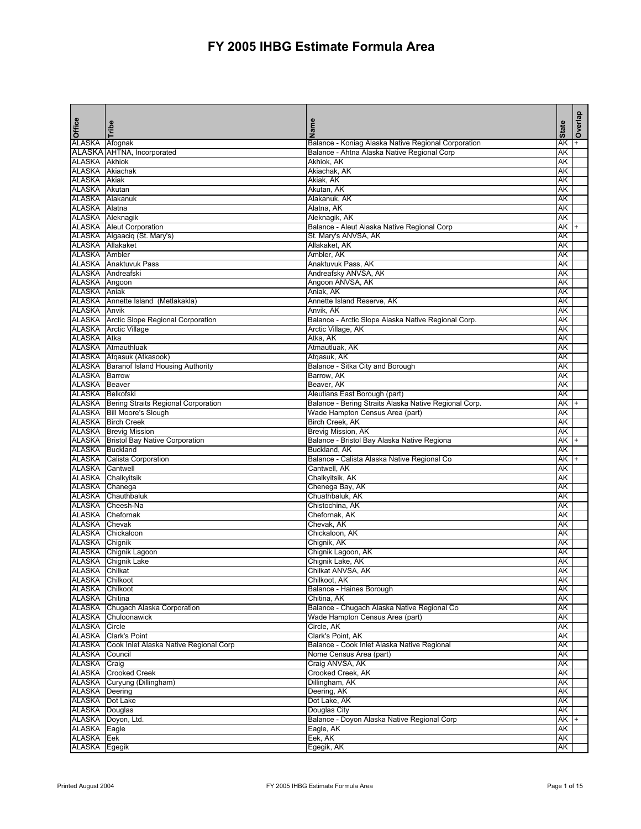| Office                            | Tribe                                               | Name                                                  | <b>State</b> | Overlap |
|-----------------------------------|-----------------------------------------------------|-------------------------------------------------------|--------------|---------|
| ALASKA                            | Afognak                                             | Balance - Koniag Alaska Native Regional Corporation   | AΚ           |         |
|                                   | ALASKA AHTNA, Incorporated                          | Balance - Ahtna Alaska Native Regional Corp           | AΚ           |         |
| <b>ALASKA</b>                     | Akhiok                                              | Akhiok, AK                                            | AΚ           |         |
| ALASKA                            | Akiachak                                            | Akiachak, AK                                          | AΚ           |         |
| <b>ALASKA Akiak</b>               |                                                     | Akiak, AK                                             | AΚ           |         |
| ALASKA Akutan                     |                                                     | Akutan, AK                                            | AΚ           |         |
| ALASKA Alakanuk                   |                                                     | Alakanuk, AK                                          | AΚ           |         |
| ALASKA Alatna                     |                                                     | Alatna, AK                                            | AΚ           |         |
|                                   | ALASKA Aleknagik                                    | Aleknagik, AK                                         | AΚ           |         |
|                                   | <b>ALASKA</b> Aleut Corporation                     | Balance - Aleut Alaska Native Regional Corp           | AΚ           |         |
|                                   | ALASKA Algaaciq (St. Mary's)                        | St. Mary's ANVSA, AK                                  | AΚ           |         |
| ALASKA Allakaket<br>ALASKA Ambler |                                                     | Allakaket, AK<br>Ambler, AK                           | AΚ           |         |
|                                   |                                                     |                                                       | AΚ           |         |
|                                   | <b>ALASKA</b> Anaktuvuk Pass<br>ALASKA Andreafski   | Anaktuvuk Pass, AK<br>Andreafsky ANVSA, AK            | AΚ           |         |
| ALASKA Angoon                     |                                                     | Angoon ANVSA, AK                                      | AΚ<br>АK     |         |
| <b>ALASKA</b> Aniak               |                                                     | Aniak, AK                                             | AΚ           |         |
|                                   | ALASKA Annette Island (Metlakakla)                  | Annette Island Reserve, AK                            | AK           |         |
| <b>ALASKA Anvik</b>               |                                                     | Anvik, AK                                             | АK           |         |
|                                   | <b>ALASKA</b>   Arctic Slope Regional Corporation   | Balance - Arctic Slope Alaska Native Regional Corp.   | АK           |         |
|                                   | <b>ALASKA</b> Arctic Village                        | Arctic Village, AK                                    | AΚ           |         |
| ALASKA Atka                       |                                                     | Atka, AK                                              | AΚ           |         |
|                                   | ALASKA Atmauthluak                                  | Atmautluak, AK                                        | AΚ           |         |
|                                   | ALASKA Atqasuk (Atkasook)                           | Atgasuk, AK                                           | AΚ           |         |
|                                   | ALASKA   Baranof Island Housing Authority           | Balance - Sitka City and Borough                      | AΚ           |         |
| <b>ALASKA Barrow</b>              |                                                     | Barrow, AK                                            | AΚ           |         |
| ALASKA Beaver                     |                                                     | Beaver, AK                                            | AΚ           |         |
| ALASKA Belkofski                  |                                                     | Aleutians East Borough (part)                         | AΚ           |         |
|                                   | <b>ALASKA</b>   Bering Straits Regional Corporation | Balance - Bering Straits Alaska Native Regional Corp. | АK           |         |
|                                   | ALASKA   Bill Moore's Slough                        | Wade Hampton Census Area (part)                       | AΚ           |         |
|                                   | ALASKA Birch Creek                                  | Birch Creek, AK                                       | AΚ           |         |
|                                   | <b>ALASKA</b> Brevig Mission                        | Brevig Mission, AK                                    | AΚ           |         |
|                                   | <b>ALASKA</b>   Bristol Bay Native Corporation      | Balance - Bristol Bay Alaska Native Regiona           | AΚ           |         |
| ALASKA Buckland                   |                                                     | Buckland, AK                                          | AΚ           |         |
| ALASKA                            | <b>Calista Corporation</b>                          | Balance - Calista Alaska Native Regional Co           | AΚ           |         |
| ALASKA                            | Cantwell                                            | Cantwell, AK                                          | AΚ           |         |
| <b>ALASKA</b>                     | Chalkyitsik                                         | Chalkyitsik, AK                                       | AΚ           |         |
| ALASKA Chanega                    |                                                     | Chenega Bay, AK                                       | AΚ           |         |
| ALASKA                            | Chauthbaluk                                         | Chuathbaluk, AK                                       | AΚ           |         |
| <b>ALASKA</b>                     | Cheesh-Na                                           | Chistochina, AK                                       | AΚ           |         |
| ALASKA<br><b>ALASKA</b>           | Chefornak                                           | Chefornak, AK<br>Chevak, AK                           | AΚ           |         |
| ALASKA                            | Chevak<br>Chickaloon                                | Chickaloon, AK                                        | AΚ<br>АK     |         |
| ALASKA Chignik                    |                                                     | Chignik, AK                                           | AΚ           |         |
|                                   | ALASKA Chignik Lagoon                               | Chignik Lagoon, AK                                    | AΚ           |         |
|                                   | <b>ALASKA</b> Chignik Lake                          | Chignik Lake, AK                                      | AΚ           |         |
| ALASKA Chilkat                    |                                                     | Chilkat ANVSA, AK                                     | AΚ           |         |
| <b>ALASKA Chilkoot</b>            |                                                     | Chilkoot, AK                                          | AΚ           |         |
| ALASKA Chilkoot                   |                                                     | Balance - Haines Borough                              | АK           |         |
| <b>ALASKA</b>                     | Chitina                                             | Chitina, AK                                           | AK           |         |
| ALASKA                            | Chugach Alaska Corporation                          | Balance - Chugach Alaska Native Regional Co           | АK           |         |
| ALASKA                            | Chuloonawick                                        | Wade Hampton Census Area (part)                       | AΚ           |         |
| ALASKA                            | Circle                                              | Circle, AK                                            | AΚ           |         |
| ALASKA                            | <b>Clark's Point</b>                                | Clark's Point, AK                                     | AΚ           |         |
| ALASKA                            | Cook Inlet Alaska Native Regional Corp              | Balance - Cook Inlet Alaska Native Regional           | AΚ           |         |
| ALASKA                            | Council                                             | Nome Census Area (part)                               | AK           |         |
| ALASKA                            | Craig                                               | Craig ANVSA, AK                                       | AΚ           |         |
| ALASKA                            | <b>Crooked Creek</b>                                | Crooked Creek, AK                                     | AK           |         |
| ALASKA                            | Curyung (Dillingham)                                | Dillingham, AK                                        | AΚ           |         |
| <b>ALASKA</b> Deering             |                                                     | Deering, AK                                           | AK           |         |
| ALASKA   Dot Lake                 |                                                     | Dot Lake, AK                                          | AΚ           |         |
| <b>ALASKA</b> Douglas             |                                                     | Douglas City                                          | AK           |         |
|                                   | ALASKA Doyon, Ltd.                                  | Balance - Doyon Alaska Native Regional Corp           | AK           |         |
| <b>ALASKA</b> Eagle               |                                                     | Eagle, AK                                             | AΚ           |         |
| ALASKA                            | Eek                                                 | Eek, AK                                               | AK           |         |
| ALASKA Egegik                     |                                                     | Egegik, AK                                            | AK           |         |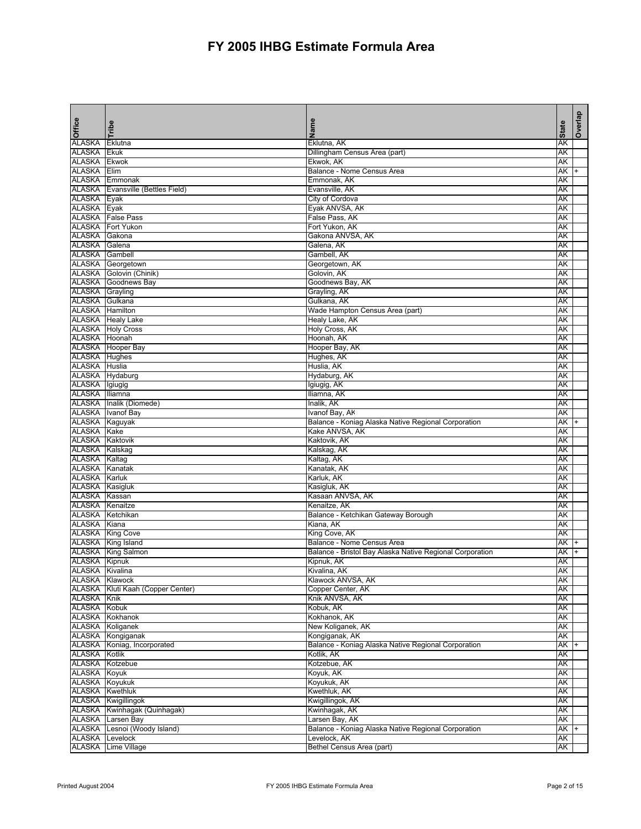| Office                           | Tribe                                         | Name                                                                  | <b>State</b> | Overlap |
|----------------------------------|-----------------------------------------------|-----------------------------------------------------------------------|--------------|---------|
| <b>ALASKA</b>                    | Eklutna                                       | Eklutna, AK                                                           | AΚ           |         |
| <b>ALASKA</b>                    | <b>Ekuk</b>                                   | Dillingham Census Area (part)                                         | AΚ           |         |
| <b>ALASKA</b>                    | <b>Ekwok</b>                                  | Ekwok, AK                                                             | AΚ           |         |
| ALASKA                           | Elim                                          | <b>Balance - Nome Census Area</b>                                     | AΚ           |         |
| ALASKA<br><b>ALASKA</b>          | Emmonak                                       | Emmonak, AK<br>Evansville, AK                                         | AΚ           |         |
| ALASKA Eyak                      | Evansville (Bettles Field)                    | City of Cordova                                                       | AΚ<br>AΚ     |         |
| <b>ALASKA</b>                    | Eyak                                          | Eyak ANVSA, AK                                                        | AΚ           |         |
|                                  | <b>ALASKA</b> False Pass                      | False Pass, AK                                                        | AΚ           |         |
| <b>ALASKA</b>                    | <b>Fort Yukon</b>                             | Fort Yukon, AK                                                        | AΚ           |         |
| ALASKA                           | Gakona                                        | Gakona ANVSA, AK                                                      | AΚ           |         |
| <b>ALASKA</b>                    | Galena                                        | Galena, AK                                                            | AΚ           |         |
| <b>ALASKA</b>                    | Gambell                                       | Gambell, AK                                                           | AΚ           |         |
| ALASKA                           | Georgetown                                    | Georgetown, AK                                                        | AΚ           |         |
| ALASKA                           | Golovin (Chinik)                              | Golovin, AK                                                           | AΚ           |         |
| <b>ALASKA</b>                    | Goodnews Bay                                  | Goodnews Bay, AK                                                      | АK           |         |
| <b>ALASKA</b><br>ALASKA Gulkana  | Grayling                                      | Grayling, AK                                                          | AΚ           |         |
| <b>ALASKA</b> Hamilton           |                                               | Gulkana, AK<br>Wade Hampton Census Area (part)                        | AK<br>AK     |         |
|                                  | <b>ALASKA</b> Healy Lake                      | Healy Lake, AK                                                        | AK           |         |
|                                  | <b>ALASKA</b> Holy Cross                      | Holy Cross, AK                                                        | AΚ           |         |
| ALASKA Hoonah                    |                                               | Hoonah, AK                                                            | AΚ           |         |
|                                  | <b>ALASKA</b> Hooper Bay                      | Hooper Bay, AK                                                        | AΚ           |         |
| <b>ALASKA</b> Hughes             |                                               | Hughes, AK                                                            | AΚ           |         |
| <b>ALASKA Huslia</b>             |                                               | Huslia, AK                                                            | AΚ           |         |
| ALASKA Hydaburg                  |                                               | Hydaburg, AK                                                          | AΚ           |         |
| ALASKA Igiugig                   |                                               | Igiugig, AK                                                           | AΚ           |         |
| <b>ALASKA</b>                    | Iliamna                                       | Iliamna, AK                                                           | AΚ           |         |
|                                  | ALASKA   Inalik (Diomede)                     | Inalik, AK                                                            | AΚ           |         |
|                                  | ALASKA Ivanof Bay                             | Ivanof Bay, AK                                                        | AΚ           |         |
| ALASKA Kaguyak<br>ALASKA Kake    |                                               | Balance - Koniag Alaska Native Regional Corporation<br>Kake ANVSA, AK | АK<br>AΚ     |         |
| <b>ALASKA Kaktovik</b>           |                                               | Kaktovik, AK                                                          | AΚ           |         |
| ALASKA Kalskag                   |                                               | Kalskag, AK                                                           | AΚ           |         |
| ALASKA Kaltag                    |                                               | Kaltag, AK                                                            | AΚ           |         |
| ALASKA Kanatak                   |                                               | Kanatak, AK                                                           | AΚ           |         |
| <b>ALASKA Karluk</b>             |                                               | Karluk, AK                                                            | AΚ           |         |
| <b>ALASKA</b> Kasigluk           |                                               | Kasigluk, AK                                                          | AΚ           |         |
| ALASKA Kassan                    |                                               | Kasaan ANVSA, AK                                                      | AΚ           |         |
| ALASKA Kenaitze                  |                                               | Kenaitze, AK                                                          | AΚ           |         |
| ALASKA Ketchikan                 |                                               | Balance - Ketchikan Gateway Borough                                   | AΚ           |         |
| ALASKA Kiana                     |                                               | Kiana, AK                                                             | AΚ           |         |
|                                  | <b>ALASKA</b> King Cove<br>ALASKA King Island | King Cove, AK<br>Balance - Nome Census Area                           | AK<br>AK     |         |
|                                  | <b>ALASKA</b> King Salmon                     | Balance - Bristol Bay Alaska Native Regional Corporation              | AΚ           |         |
| <b>ALASKA</b> Kipnuk             |                                               | Kipnuk, AK                                                            | AΚ           |         |
| ALASKA Kivalina                  |                                               | Kivalina, AK                                                          | AK           |         |
| <b>ALASKA Klawock</b>            |                                               | Klawock ANVSA, AK                                                     | AΚ           |         |
|                                  | ALASKA Kluti Kaah (Copper Center)             | Copper Center, AK                                                     | АK           |         |
| <b>ALASKA Knik</b>               |                                               | Knik ANVSA, AK                                                        | AK           |         |
| ALASKA Kobuk                     |                                               | Kobuk, AK                                                             | АK           |         |
|                                  | ALASKA Kokhanok                               | Kokhanok, AK                                                          | АK           |         |
|                                  | ALASKA Koliganek                              | New Koliganek, AK                                                     | АK           |         |
|                                  | ALASKA Kongiganak                             | Kongiganak, AK                                                        | AΚ           |         |
|                                  | ALASKA Koniag, Incorporated                   | Balance - Koniag Alaska Native Regional Corporation                   | АK           |         |
| ALASKA Kotlik<br>ALASKA Kotzebue |                                               | Kotlik, AK<br>Kotzebue, AK                                            | AK           |         |
| ALASKA Koyuk                     |                                               | Koyuk, AK                                                             | AΚ<br>AΚ     |         |
| ALASKA Koyukuk                   |                                               | Koyukuk, AK                                                           | AΚ           |         |
| ALASKA Kwethluk                  |                                               | Kwethluk, AK                                                          | AK           |         |
|                                  | ALASKA Kwigillingok                           | Kwigillingok, AK                                                      | AΚ           |         |
|                                  | ALASKA Kwinhagak (Quinhagak)                  | Kwinhagak, AK                                                         | AK           |         |
|                                  | <b>ALASKA</b> Larsen Bay                      | Larsen Bay, AK                                                        | AΚ           |         |
| ALASKA                           | Lesnoi (Woody Island)                         | Balance - Koniag Alaska Native Regional Corporation                   | AK           |         |
| ALASKA                           | Levelock                                      | Levelock, AK                                                          | AK           |         |
| ALASKA                           | Lime Village                                  | Bethel Census Area (part)                                             | AK           |         |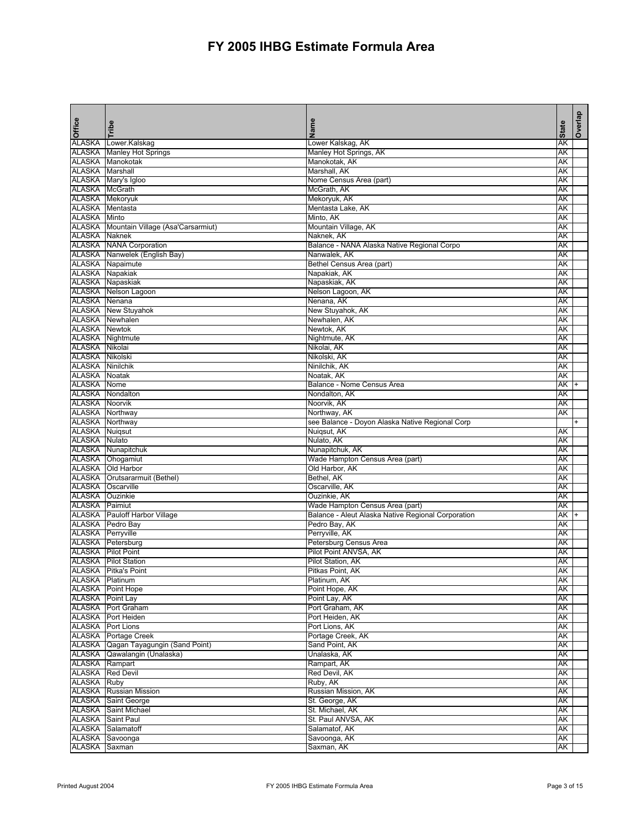| Office                   | Tribe                                                                | Name                                               | <b>State</b> | Overlap |
|--------------------------|----------------------------------------------------------------------|----------------------------------------------------|--------------|---------|
| ALASKA                   | Lower.Kalskag                                                        | Lower Kalskag, AK                                  | AΚ           |         |
|                          | <b>ALASKA</b> Manley Hot Springs                                     | Manley Hot Springs, AK                             | AΚ           |         |
|                          | ALASKA Manokotak                                                     | Manokotak, AK                                      | AΚ           |         |
| <b>ALASKA</b> Marshall   |                                                                      | Marshall, AK                                       | AΚ           |         |
|                          | ALASKA Mary's Igloo                                                  | Nome Census Area (part)                            | AΚ           |         |
| ALASKA McGrath           |                                                                      | McGrath, AK                                        | AK           |         |
| <b>ALASKA Mekoryuk</b>   |                                                                      | Mekoryuk, AK                                       | AΚ           |         |
| ALASKA Mentasta          |                                                                      | Mentasta Lake, AK                                  | AΚ           |         |
| <b>ALASKA</b>            | Minto                                                                | Minto, AK                                          | AK           |         |
|                          | ALASKA   Mountain Village (Asa'Carsarmiut)                           | Mountain Village, AK                               | AΚ           |         |
| <b>ALASKA</b> Naknek     |                                                                      | Naknek, AK                                         | AΚ           |         |
|                          | <b>ALASKA</b> NANA Corporation                                       | Balance - NANA Alaska Native Regional Corpo        | AK           |         |
|                          | ALASKA Nanwelek (English Bay)                                        | Nanwalek, AK                                       | AΚ           |         |
|                          | ALASKA Napaimute                                                     | Bethel Census Area (part)                          | AΚ           |         |
| <b>ALASKA</b> Napakiak   |                                                                      | Napakiak, AK                                       | AK           |         |
|                          | ALASKA Napaskiak                                                     | Napaskiak, AK                                      | AΚ           |         |
|                          | ALASKA Nelson Lagoon                                                 | Nelson Lagoon, AK                                  | AΚ           |         |
| ALASKA Nenana            |                                                                      | Nenana, AK                                         | AK           |         |
|                          | <b>ALASKA</b> New Stuyahok                                           | New Stuyahok, AK                                   | AK           |         |
|                          | <b>ALASKA</b> Newhalen                                               | Newhalen, AK                                       | AΚ           |         |
| <b>ALASKA Newtok</b>     |                                                                      | Newtok, AK                                         | AK           |         |
|                          | <b>ALASKA</b> Nightmute                                              | Nightmute, AK                                      | AΚ           |         |
| ALASKA Nikolai           |                                                                      | Nikolai, AK                                        | AΚ           |         |
| ALASKA Nikolski          |                                                                      | Nikolski, AK                                       | AΚ           |         |
| <b>ALASKA</b> Ninilchik  |                                                                      | Ninilchik, AK                                      | AΚ           |         |
| <b>ALASKA Noatak</b>     |                                                                      | Noatak, AK                                         | AΚ           |         |
| ALASKA                   | Nome                                                                 | Balance - Nome Census Area                         | AΚ           |         |
| <b>ALASKA</b>            | Nondalton                                                            | Nondalton, AK                                      | AΚ           |         |
| <b>ALASKA Noorvik</b>    |                                                                      | Noorvik, AK                                        | AΚ           |         |
| <b>ALASKA</b> Northway   |                                                                      | Northway, AK                                       | AΚ           |         |
| ALASKA Northway          |                                                                      | see Balance - Doyon Alaska Native Regional Corp    |              |         |
| <b>ALASKA</b> Nuiqsut    |                                                                      | Nuigsut, AK                                        | AΚ           |         |
| <b>ALASKA</b> Nulato     |                                                                      | Nulato, AK                                         | AΚ           |         |
|                          | <b>ALASKA</b> Nunapitchuk                                            | Nunapitchuk, AK                                    | AK           |         |
|                          | ALASKA Ohogamiut                                                     | Wade Hampton Census Area (part)                    | AΚ           |         |
|                          | ALASKA Old Harbor                                                    | Old Harbor, AK                                     | AΚ           |         |
|                          | ALASKA Orutsararmuit (Bethel)                                        | Bethel, AK                                         | AK           |         |
| ALASKA                   | Oscarville                                                           | Oscarville, AK                                     | AΚ           |         |
| ALASKA                   | Ouzinkie                                                             | Ouzinkie, AK                                       | AΚ           |         |
| ALASKA Paimiut           |                                                                      | Wade Hampton Census Area (part)                    | AK           |         |
|                          | <b>ALASKA</b> Pauloff Harbor Village                                 | Balance - Aleut Alaska Native Regional Corporation | AΚ           |         |
|                          | <b>ALASKA</b> Pedro Bay                                              | Pedro Bay, AK                                      | AΚ           |         |
| <b>ALASKA</b> Perryville |                                                                      | Perryville, AK                                     | AK           |         |
|                          | ALASKA Petersburg                                                    | Petersburg Census Area                             | AΚ           |         |
|                          | <b>ALASKA</b> Pilot Point                                            | Pilot Point ANVSA, AK                              | AΚ           |         |
|                          | <b>ALASKA</b> Pilot Station                                          | Pilot Station, AK                                  | AΚ           |         |
|                          | <b>ALASKA</b> Pitka's Point                                          | Pitkas Point, AK                                   | AK           |         |
| <b>ALASKA</b> Platinum   |                                                                      | Platinum, AK                                       | AΚ           |         |
|                          | <b>ALASKA</b> Point Hope                                             | Point Hope, AK                                     | AΚ           |         |
| <b>ALASKA</b> Point Lay  |                                                                      | Point Lay, AK                                      | AK           |         |
|                          | ALASKA Port Graham                                                   | Port Graham, AK                                    | AΚ           |         |
|                          | ALASKA   Port Heiden                                                 | Port Heiden, AK                                    | AΚ           |         |
|                          | <b>ALASKA</b> Port Lions<br><b>ALASKA</b> Portage Creek              | Port Lions, AK<br>Portage Creek, AK                | AK           |         |
|                          |                                                                      |                                                    | АK           |         |
|                          | ALASKA Qagan Tayagungin (Sand Point)<br>ALASKA Qawalangin (Unalaska) | Sand Point, AK<br>Unalaska, AK                     | AΚ           |         |
| ALASKA Rampart           |                                                                      |                                                    | AΚ<br>AK     |         |
|                          | ALASKA Red Devil                                                     | Rampart, AK<br>Red Devil, AK                       |              |         |
| ALASKA Ruby              |                                                                      |                                                    | AΚ           |         |
|                          |                                                                      | Ruby, AK<br>Russian Mission, AK                    | AK           |         |
|                          | <b>ALASKA</b> Russian Mission                                        |                                                    | AΚ<br>AΚ     |         |
|                          | <b>ALASKA</b> Saint George                                           | St. George, AK                                     |              |         |
|                          | <b>ALASKA</b> Saint Michael                                          | St. Michael, AK                                    | AK           |         |
|                          | ALASKA Saint Paul                                                    | St. Paul ANVSA, AK                                 | AK           |         |
|                          | ALASKA Salamatoff                                                    | Salamatof, AK                                      | AΚ           |         |
|                          | ALASKA Savoonga                                                      | Savoonga, AK                                       | AK           |         |
| ALASKA Saxman            |                                                                      | Saxman, AK                                         | AΚ           |         |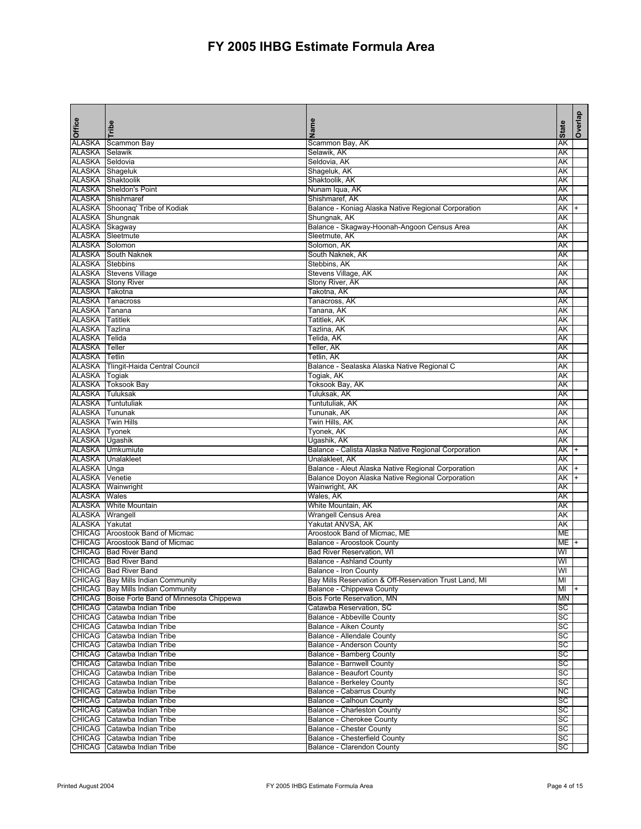| Office                                  | Tribe                                                      | Name                                                                                   | <b>State</b>    | Overlap |
|-----------------------------------------|------------------------------------------------------------|----------------------------------------------------------------------------------------|-----------------|---------|
| <b>ALASKA</b>                           | Scammon Bay                                                | Scammon Bay, AK                                                                        | AΚ              |         |
| ALASKA                                  | Selawik                                                    | Selawik, AK                                                                            | AΚ              |         |
| ALASKA                                  | Seldovia                                                   | Seldovia, AK                                                                           | AΚ              |         |
| ALASKA Shageluk                         |                                                            | Shageluk, AK                                                                           | AΚ              |         |
|                                         | ALASKA Shaktoolik<br>ALASKA Sheldon's Point                | Shaktoolik, AK                                                                         | AΚ              |         |
|                                         | ALASKA Shishmaref                                          | Nunam Iqua, AK<br>Shishmaref, AK                                                       | AΚ<br>AΚ        |         |
|                                         | ALASKA Shoonaq' Tribe of Kodiak                            | Balance - Koniag Alaska Native Regional Corporation                                    | AΚ              |         |
|                                         | ALASKA Shungnak                                            | Shungnak, AK                                                                           | AΚ              |         |
| ALASKA Skagway                          |                                                            | Balance - Skagway-Hoonah-Angoon Census Area                                            | AΚ              |         |
|                                         | <b>ALASKA</b> Sleetmute                                    | Sleetmute, AK                                                                          | AΚ              |         |
| <b>ALASKA</b>                           | Solomon                                                    | Solomon, AK                                                                            | AΚ              |         |
|                                         | <b>ALASKA</b> South Naknek                                 | South Naknek, AK                                                                       | AΚ              |         |
| <b>ALASKA</b>                           | <b>Stebbins</b>                                            | Stebbins, AK                                                                           | AΚ              |         |
|                                         | ALASKA Stevens Village                                     | Stevens Village, AK                                                                    | AΚ              |         |
|                                         | <b>ALASKA</b> Stony River                                  | Stony River, AK                                                                        | АK              |         |
| ALASKA Takotna                          |                                                            | Takotna, AK                                                                            | AΚ              |         |
|                                         | <b>ALASKA</b> Tanacross                                    | Tanacross, AK                                                                          | AK              |         |
| <b>ALASKA</b><br><b>ALASKA</b> Tatitlek | Tanana                                                     | Tanana, AK                                                                             | АK              |         |
| <b>ALASKA</b>                           | Tazlina                                                    | Tatitlek, AK<br>Tazlina, AK                                                            | АK<br>AΚ        |         |
| ALASKA Telida                           |                                                            | Telida, AK                                                                             | AΚ              |         |
| <b>ALASKA</b> Teller                    |                                                            | Teller, AK                                                                             | AΚ              |         |
| <b>ALASKA</b> Tetlin                    |                                                            | Tetlin, AK                                                                             | AΚ              |         |
|                                         | ALASKA Tlingit-Haida Central Council                       | Balance - Sealaska Alaska Native Regional C                                            | AΚ              |         |
| ALASKA Togiak                           |                                                            | Togiak, AK                                                                             | AΚ              |         |
|                                         | <b>ALASKA</b> Toksook Bay                                  | Toksook Bay, AK                                                                        | AΚ              |         |
| <b>ALASKA</b>                           | Tuluksak                                                   | Tuluksak, AK                                                                           | AΚ              |         |
| <b>ALASKA</b>                           | Tuntutuliak                                                | Tuntutuliak, AK                                                                        | AΚ              |         |
| ALASKA Tununak                          |                                                            | Tununak, AK                                                                            | AΚ              |         |
| <b>ALASKA</b>                           | <b>Twin Hills</b>                                          | Twin Hills, AK                                                                         | AΚ              |         |
| ALASKA                                  | Tyonek                                                     | Tyonek, AK                                                                             | AΚ              |         |
| ALASKA Ugashik                          |                                                            | Ugashik, AK                                                                            | AΚ              |         |
|                                         | ALASKA Umkumiute<br>ALASKA Unalakleet                      | Balance - Calista Alaska Native Regional Corporation<br>Unalakleet, AK                 | AΚ<br>AΚ        |         |
| ALASKA Unga                             |                                                            | Balance - Aleut Alaska Native Regional Corporation                                     | AΚ              |         |
| <b>ALASKA</b>                           | Venetie                                                    | Balance Doyon Alaska Native Regional Corporation                                       | AΚ              |         |
|                                         | ALASKA Wainwright                                          | Wainwright, AK                                                                         | AΚ              |         |
| <b>ALASKA Wales</b>                     |                                                            | Wales, AK                                                                              | AΚ              |         |
|                                         | <b>ALASKA</b> White Mountain                               | White Mountain, AK                                                                     | AΚ              |         |
| <b>ALASKA</b> Wrangell                  |                                                            | Wrangell Census Area                                                                   | AΚ              |         |
| <b>ALASKA</b> Yakutat                   |                                                            | Yakutat ANVSA, AK                                                                      | AΚ              |         |
|                                         | CHICAG Aroostook Band of Micmac                            | Aroostook Band of Micmac, ME                                                           | ME              |         |
|                                         | CHICAG Aroostook Band of Micmac                            | <b>Balance - Aroostook County</b>                                                      | ME <sub>+</sub> |         |
|                                         | CHICAG   Bad River Band                                    | <b>Bad River Reservation, WI</b>                                                       | WI              |         |
|                                         | CHICAG Bad River Band                                      | Balance - Ashland County                                                               | WI              |         |
|                                         | CHICAG Bad River Band<br>CHICAG Bay Mills Indian Community | <b>Balance - Iron County</b><br>Bay Mills Reservation & Off-Reservation Trust Land, MI | WI<br>MI        |         |
|                                         | <b>CHICAG</b> Bay Mills Indian Community                   | Balance - Chippewa County                                                              | MI              |         |
|                                         | CHICAG Boise Forte Band of Minnesota Chippewa              | Bois Forte Reservation, MN                                                             | <b>MN</b>       |         |
|                                         | CHICAG Catawba Indian Tribe                                | Catawba Reservation, SC                                                                | SC              |         |
| <b>CHICAG</b>                           | Catawba Indian Tribe                                       | Balance - Abbeville County                                                             | SC              |         |
| <b>CHICAG</b>                           | Catawba Indian Tribe                                       | Balance - Aiken County                                                                 | SC              |         |
| CHICAG                                  | Catawba Indian Tribe                                       | Balance - Allendale County                                                             | SC              |         |
|                                         | CHICAG Catawba Indian Tribe                                | Balance - Anderson County                                                              | SC              |         |
|                                         | CHICAG Catawba Indian Tribe                                | Balance - Bamberg County                                                               | SC              |         |
| CHICAG                                  | Catawba Indian Tribe                                       | <b>Balance - Barnwell County</b>                                                       | SC              |         |
| <b>CHICAG</b>                           | Catawba Indian Tribe                                       | <b>Balance - Beaufort County</b>                                                       | SC              |         |
| <b>CHICAG</b>                           | Catawba Indian Tribe                                       | <b>Balance - Berkeley County</b>                                                       | SC              |         |
| <b>CHICAG</b>                           | Catawba Indian Tribe                                       | Balance - Cabarrus County                                                              | <b>NC</b>       |         |
| <b>CHICAG</b>                           | Catawba Indian Tribe                                       | Balance - Calhoun County                                                               | SC              |         |
| <b>CHICAG</b>                           | Catawba Indian Tribe<br>CHICAG Catawba Indian Tribe        | Balance - Charleston County<br>Balance - Cherokee County                               | SC<br>SC        |         |
| <b>CHICAG</b>                           | Catawba Indian Tribe                                       | <b>Balance - Chester County</b>                                                        | SC              |         |
| <b>CHICAG</b>                           | Catawba Indian Tribe                                       | Balance - Chesterfield County                                                          | SC              |         |
| <b>CHICAG</b>                           | Catawba Indian Tribe                                       | Balance - Clarendon County                                                             | SC              |         |
|                                         |                                                            |                                                                                        |                 |         |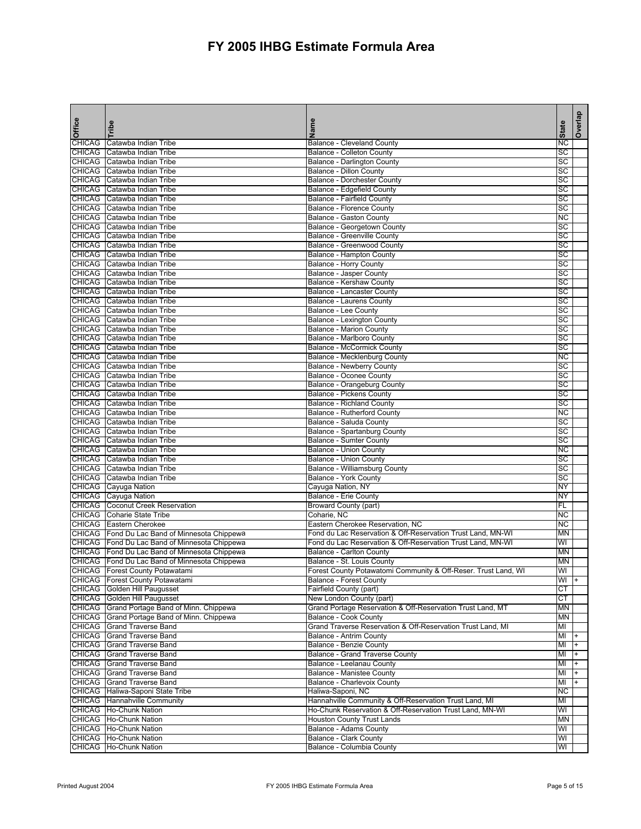| <b>Office</b>                  | Tribe                                              | Name                                                                  | <b>State</b> | Overlap |
|--------------------------------|----------------------------------------------------|-----------------------------------------------------------------------|--------------|---------|
|                                |                                                    |                                                                       |              |         |
| <b>CHICAG</b><br><b>CHICAG</b> | Catawba Indian Tribe<br>Catawba Indian Tribe       | <b>Balance - Cleveland County</b><br><b>Balance - Colleton County</b> | ΝC<br>SC     |         |
| <b>CHICAG</b>                  | Catawba Indian Tribe                               | <b>Balance - Darlington County</b>                                    | SC           |         |
| <b>CHICAG</b>                  | Catawba Indian Tribe                               | <b>Balance - Dillon County</b>                                        | SC           |         |
| <b>CHICAG</b>                  | Catawba Indian Tribe                               | <b>Balance - Dorchester County</b>                                    | SC           |         |
| <b>CHICAG</b>                  | Catawba Indian Tribe                               | Balance - Edgefield County                                            | SC           |         |
| <b>CHICAG</b>                  | Catawba Indian Tribe                               | <b>Balance - Fairfield County</b>                                     | SC           |         |
| <b>CHICAG</b>                  | Catawba Indian Tribe                               | Balance - Florence County                                             | SC           |         |
| <b>CHICAG</b>                  | Catawba Indian Tribe                               | Balance - Gaston County                                               | <b>NC</b>    |         |
| <b>CHICAG</b>                  | Catawba Indian Tribe                               | Balance - Georgetown County                                           | SC           |         |
|                                | CHICAG Catawba Indian Tribe                        | Balance - Greenville County                                           | SC           |         |
| <b>CHICAG</b>                  | Catawba Indian Tribe                               | <b>Balance - Greenwood County</b>                                     | SC           |         |
| <b>CHICAG</b>                  | Catawba Indian Tribe                               | Balance - Hampton County                                              | SC           |         |
|                                | CHICAG Catawba Indian Tribe                        | <b>Balance - Horry County</b>                                         | SC           |         |
|                                | CHICAG Catawba Indian Tribe                        | Balance - Jasper County                                               | SC           |         |
| <b>CHICAG</b>                  | Catawba Indian Tribe                               | Balance - Kershaw County                                              | SC           |         |
|                                | CHICAG Catawba Indian Tribe                        | Balance - Lancaster County                                            | SC           |         |
| <b>CHICAG</b>                  | Catawba Indian Tribe                               | Balance - Laurens County                                              | SC           |         |
| <b>CHICAG</b>                  | Catawba Indian Tribe                               | <b>Balance - Lee County</b>                                           | SC           |         |
| <b>CHICAG</b>                  | Catawba Indian Tribe                               | <b>Balance - Lexington County</b>                                     | SC           |         |
| <b>CHICAG</b>                  | Catawba Indian Tribe                               | <b>Balance - Marion County</b>                                        | SC           |         |
|                                | <b>CHICAG</b> Catawba Indian Tribe                 | Balance - Marlboro County                                             | SC           |         |
| <b>CHICAG</b>                  | Catawba Indian Tribe                               | <b>Balance - McCormick County</b>                                     | SC           |         |
|                                | CHICAG Catawba Indian Tribe                        | Balance - Mecklenburg County                                          | К            |         |
| <b>CHICAG</b>                  | Catawba Indian Tribe                               | Balance - Newberry County                                             | SC           |         |
|                                | CHICAG Catawba Indian Tribe                        | Balance - Oconee County                                               | SC           |         |
|                                | CHICAG Catawba Indian Tribe                        | Balance - Orangeburg County                                           | SC           |         |
| <b>CHICAG</b><br><b>CHICAG</b> | Catawba Indian Tribe<br>Catawba Indian Tribe       | <b>Balance - Pickens County</b><br><b>Balance - Richland County</b>   | SC           |         |
| <b>CHICAG</b>                  | Catawba Indian Tribe                               | Balance - Rutherford County                                           | SC<br>ΝC     |         |
| <b>CHICAG</b>                  | Catawba Indian Tribe                               | Balance - Saluda County                                               | SC           |         |
| <b>CHICAG</b>                  | Catawba Indian Tribe                               | Balance - Spartanburg County                                          | SC           |         |
| <b>CHICAG</b>                  | Catawba Indian Tribe                               | <b>Balance - Sumter County</b>                                        | SC           |         |
| <b>CHICAG</b>                  | Catawba Indian Tribe                               | <b>Balance - Union County</b>                                         | <b>NC</b>    |         |
| <b>CHICAG</b>                  | Catawba Indian Tribe                               | <b>Balance - Union County</b>                                         | SC           |         |
| <b>CHICAG</b>                  | Catawba Indian Tribe                               | Balance - Williamsburg County                                         | SC           |         |
|                                | CHICAG Catawba Indian Tribe                        | Balance - York County                                                 | SC           |         |
|                                | CHICAG Cayuga Nation                               | Cayuga Nation, NY                                                     | ΝY           |         |
|                                | CHICAG Cayuga Nation                               | <b>Balance - Erie County</b>                                          | NY           |         |
|                                | <b>CHICAG</b> Coconut Creek Reservation            | <b>Broward County (part)</b>                                          | <b>FL</b>    |         |
|                                | <b>CHICAG</b> Coharie State Tribe                  | Coharie, NC                                                           | <b>NC</b>    |         |
|                                | <b>CHICAG</b> Eastern Cherokee                     | Eastern Cherokee Reservation, NC                                      | <b>NC</b>    |         |
|                                | CHICAG   Fond Du Lac Band of Minnesota Chippewa    | Fond du Lac Reservation & Off-Reservation Trust Land, MN-WI           | <b>MN</b>    |         |
|                                | CHICAG Fond Du Lac Band of Minnesota Chippewa      | Fond du Lac Reservation & Off-Reservation Trust Land, MN-WI           | WI           |         |
|                                | CHICAG   Fond Du Lac Band of Minnesota Chippewa    | <b>Balance - Carlton County</b>                                       | <b>MN</b>    |         |
|                                | CHICAG Fond Du Lac Band of Minnesota Chippewa      | Balance - St. Louis County                                            | <b>MN</b>    |         |
|                                | CHICAG Forest County Potawatami                    | Forest County Potawatomi Community & Off-Reser. Trust Land, WI        | WI           |         |
|                                | CHICAG   Forest County Potawatami                  | <b>Balance - Forest County</b>                                        | $WI +$       |         |
|                                | CHICAG Golden Hill Paugusset                       | Fairfield County (part)                                               | СT           |         |
|                                | CHICAG Golden Hill Paugusset                       | New London County (part)                                              | <b>CT</b>    |         |
|                                | CHICAG Grand Portage Band of Minn. Chippewa        | Grand Portage Reservation & Off-Reservation Trust Land, MT            | ΜN           |         |
|                                | CHICAG Grand Portage Band of Minn. Chippewa        | <b>Balance - Cook County</b>                                          | ΜN           |         |
|                                | CHICAG Grand Traverse Band                         | Grand Traverse Reservation & Off-Reservation Trust Land, MI           | MI           |         |
|                                | CHICAG Grand Traverse Band                         | <b>Balance - Antrim County</b>                                        | MI           |         |
|                                | CHICAG Grand Traverse Band                         | <b>Balance - Benzie County</b>                                        | MI           |         |
|                                | CHICAG Grand Traverse Band                         | <b>Balance - Grand Traverse County</b>                                | MI           |         |
|                                | CHICAG Grand Traverse Band                         | Balance - Leelanau County                                             | MI           |         |
|                                | CHICAG Grand Traverse Band                         | <b>Balance - Manistee County</b>                                      | MI           |         |
|                                | CHICAG Grand Traverse Band                         | Balance - Charlevoix County                                           | MI           |         |
|                                | CHICAG Haliwa-Saponi State Tribe                   | Haliwa-Saponi, NC                                                     | <b>NC</b>    |         |
|                                | <b>CHICAG</b> Hannahville Community                | Hannahville Community & Off-Reservation Trust Land, MI                | MI           |         |
|                                | CHICAG Ho-Chunk Nation                             | Ho-Chunk Reservation & Off-Reservation Trust Land, MN-WI              | WI           |         |
|                                | CHICAG   Ho-Chunk Nation                           | <b>Houston County Trust Lands</b>                                     | <b>MN</b>    |         |
|                                | CHICAG   Ho-Chunk Nation<br>CHICAG Ho-Chunk Nation | <b>Balance - Adams County</b>                                         | WI           |         |
|                                | CHICAG   Ho-Chunk Nation                           | Balance - Clark County<br>Balance - Columbia County                   | WI<br>WI     |         |
|                                |                                                    |                                                                       |              |         |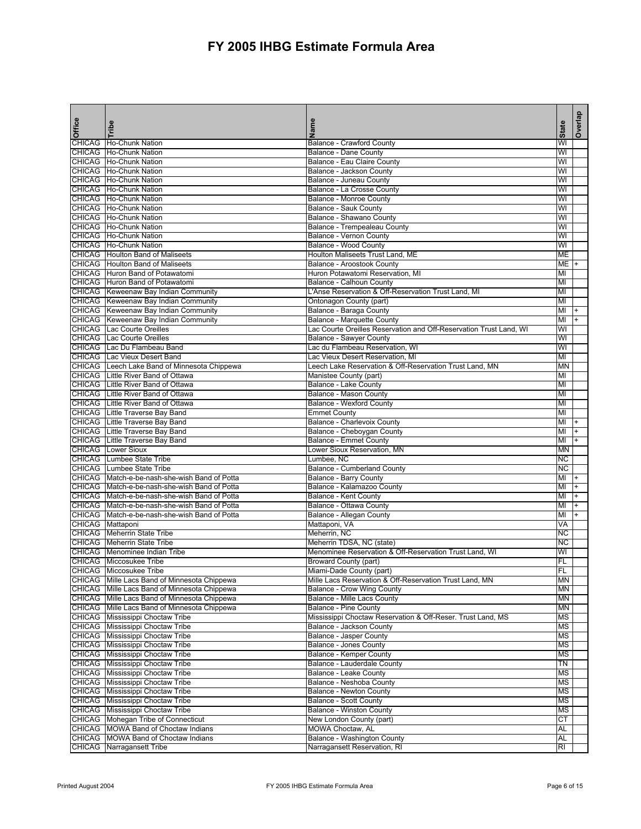| <b>Office</b> | Tribe                                                                                        | Name                                                                                 | <b>State</b>    | Overlap   |
|---------------|----------------------------------------------------------------------------------------------|--------------------------------------------------------------------------------------|-----------------|-----------|
| <b>CHICAG</b> | <b>Ho-Chunk Nation</b>                                                                       | <b>Balance - Crawford County</b>                                                     | WI              |           |
|               | CHICAG Ho-Chunk Nation                                                                       | Balance - Dane County                                                                | WI              |           |
|               | CHICAG Ho-Chunk Nation                                                                       | Balance - Eau Claire County                                                          | WI              |           |
|               | CHICAG Ho-Chunk Nation                                                                       | Balance - Jackson County                                                             | WI              |           |
|               | CHICAG Ho-Chunk Nation                                                                       | Balance - Juneau County                                                              | WI              |           |
|               | CHICAG Ho-Chunk Nation                                                                       | Balance - La Crosse County                                                           | WI              |           |
|               | CHICAG Ho-Chunk Nation                                                                       | <b>Balance - Monroe County</b>                                                       | WI              |           |
|               | CHICAG Ho-Chunk Nation                                                                       | <b>Balance - Sauk County</b>                                                         | WI              |           |
|               | CHICAG Ho-Chunk Nation                                                                       | Balance - Shawano County                                                             | WI              |           |
|               | CHICAG Ho-Chunk Nation                                                                       | Balance - Trempealeau County                                                         | WI              |           |
|               | CHICAG Ho-Chunk Nation                                                                       | Balance - Vernon County                                                              | WI              |           |
|               | CHICAG Ho-Chunk Nation                                                                       | Balance - Wood County                                                                | WI              |           |
|               | <b>CHICAG</b> Houlton Band of Maliseets                                                      | Houlton Maliseets Trust Land, ME                                                     | МЕ              |           |
|               | <b>CHICAG</b> Houlton Band of Maliseets                                                      | Balance - Aroostook County                                                           | MЕ              | $\ddot{}$ |
|               | CHICAG Huron Band of Potawatomi                                                              | Huron Potawatomi Reservation, MI                                                     | MI              |           |
|               | CHICAG Huron Band of Potawatomi                                                              | Balance - Calhoun County                                                             | MI              |           |
|               | CHICAG Keweenaw Bay Indian Community                                                         | L'Anse Reservation & Off-Reservation Trust Land, MI                                  | MI              |           |
|               | CHICAG   Keweenaw Bay Indian Community                                                       | Ontonagon County (part)                                                              | MI              |           |
|               | CHICAG Keweenaw Bay Indian Community                                                         | Balance - Baraga County                                                              | MI              |           |
|               | <b>CHICAG</b> Keweenaw Bay Indian Community                                                  | <b>Balance - Marquette County</b>                                                    | MI              |           |
|               | CHICAG Lac Courte Oreilles                                                                   | Lac Courte Oreilles Reservation and Off-Reservation Trust Land, WI                   | WI              |           |
|               | <b>CHICAG</b> Lac Courte Oreilles                                                            | <b>Balance - Sawyer County</b>                                                       | WI              |           |
|               | CHICAG Lac Du Flambeau Band                                                                  | Lac du Flambeau Reservation, WI<br>Lac Vieux Desert Reservation, MI                  | WI              |           |
|               | <b>CHICAG</b> Lac Vieux Desert Band                                                          |                                                                                      | MI              |           |
|               | CHICAG Leech Lake Band of Minnesota Chippewa<br><b>CHICAG</b> Little River Band of Ottawa    | Leech Lake Reservation & Off-Reservation Trust Land, MN<br>Manistee County (part)    | MN<br>мі        |           |
| <b>CHICAG</b> | Little River Band of Ottawa                                                                  | Balance - Lake County                                                                | МІ              |           |
|               | CHICAG Little River Band of Ottawa                                                           | Balance - Mason County                                                               | MI              |           |
|               | CHICAG Little River Band of Ottawa                                                           | <b>Balance - Wexford County</b>                                                      | MI              |           |
|               | CHICAG Little Traverse Bay Band                                                              | <b>Emmet County</b>                                                                  | MI              |           |
|               | CHICAG Little Traverse Bay Band                                                              | Balance - Charlevoix County                                                          | МΙ              |           |
|               | CHICAG Little Traverse Bay Band                                                              | Balance - Cheboygan County                                                           | мі              | $\ddot{}$ |
|               | <b>CHICAG</b> Little Traverse Bay Band                                                       | <b>Balance - Emmet County</b>                                                        | мі              |           |
|               | <b>CHICAG</b> Lower Sioux                                                                    | Lower Sioux Reservation, MN                                                          | MN              |           |
|               | <b>CHICAG</b> Lumbee State Tribe                                                             | Lumbee, NC                                                                           | ΝC              |           |
|               | <b>CHICAG</b> Lumbee State Tribe                                                             | <b>Balance - Cumberland County</b>                                                   | NС              |           |
|               | CHICAG Match-e-be-nash-she-wish Band of Potta                                                | Balance - Barry County                                                               | MI              |           |
|               | CHICAG Match-e-be-nash-she-wish Band of Potta                                                | Balance - Kalamazoo County                                                           | МΙ              | $+$       |
|               | CHICAG Match-e-be-nash-she-wish Band of Potta                                                | <b>Balance - Kent County</b>                                                         | MI              |           |
|               | CHICAG Match-e-be-nash-she-wish Band of Potta                                                | Balance - Ottawa County                                                              | MI              | $\ddot{}$ |
|               | CHICAG   Match-e-be-nash-she-wish Band of Potta                                              | Balance - Allegan County                                                             | MI              | $\ddot{}$ |
|               | CHICAG Mattaponi                                                                             | Mattaponi, VA                                                                        | VA              |           |
|               | <b>CHICAG</b> Meherrin State Tribe                                                           | Meherrin, NC                                                                         | <b>NC</b>       |           |
|               | <b>CHICAG</b> Meherrin State Tribe                                                           | Meherrin TDSA, NC (state)                                                            | NС              |           |
|               | CHICAG   Menominee Indian Tribe                                                              | Menominee Reservation & Off-Reservation Trust Land, WI                               | WI              |           |
|               | CHICAG Miccosukee Tribe                                                                      | Broward County (part)                                                                | FL              |           |
|               | CHICAG Miccosukee Tribe                                                                      | Miami-Dade County (part)                                                             | FL              |           |
|               | CHICAG Mille Lacs Band of Minnesota Chippewa                                                 | Mille Lacs Reservation & Off-Reservation Trust Land, MN                              | <b>MN</b>       |           |
|               | CHICAG Mille Lacs Band of Minnesota Chippewa<br>CHICAG Mille Lacs Band of Minnesota Chippewa | Balance - Crow Wing County                                                           | <b>MN</b><br>ΜN |           |
|               | CHICAG Mille Lacs Band of Minnesota Chippewa                                                 | Balance - Mille Lacs County                                                          | ΜN              |           |
|               | CHICAG   Mississippi Choctaw Tribe                                                           | Balance - Pine County<br>Mississippi Choctaw Reservation & Off-Reser. Trust Land, MS | ΜS              |           |
|               | CHICAG Mississippi Choctaw Tribe                                                             | Balance - Jackson County                                                             | ΜS              |           |
|               | <b>CHICAG</b> Mississippi Choctaw Tribe                                                      | <b>Balance - Jasper County</b>                                                       | ΜS              |           |
|               | <b>CHICAG</b> Mississippi Choctaw Tribe                                                      | Balance - Jones County                                                               | ΜS              |           |
|               | CHICAG Mississippi Choctaw Tribe                                                             | <b>Balance - Kemper County</b>                                                       | ΜS              |           |
|               | CHICAG Mississippi Choctaw Tribe                                                             | Balance - Lauderdale County                                                          | TN              |           |
|               | CHICAG Mississippi Choctaw Tribe                                                             | Balance - Leake County                                                               | ΜS              |           |
|               | CHICAG Mississippi Choctaw Tribe                                                             | Balance - Neshoba County                                                             | <b>MS</b>       |           |
|               | CHICAG Mississippi Choctaw Tribe                                                             | Balance - Newton County                                                              | ΜS              |           |
|               | CHICAG Mississippi Choctaw Tribe                                                             | Balance - Scott County                                                               | ΜS              |           |
|               | CHICAG Mississippi Choctaw Tribe                                                             | Balance - Winston County                                                             | ΜS              |           |
|               | CHICAG   Mohegan Tribe of Connecticut                                                        | New London County (part)                                                             | СT              |           |
|               | CHICAG   MOWA Band of Choctaw Indians                                                        | MOWA Choctaw, AL                                                                     | AL              |           |
|               | CHICAG MOWA Band of Choctaw Indians                                                          | Balance - Washington County                                                          | AL              |           |
|               | <b>CHICAG</b> Narragansett Tribe                                                             | Narragansett Reservation, RI                                                         | RI              |           |
|               |                                                                                              |                                                                                      |                 |           |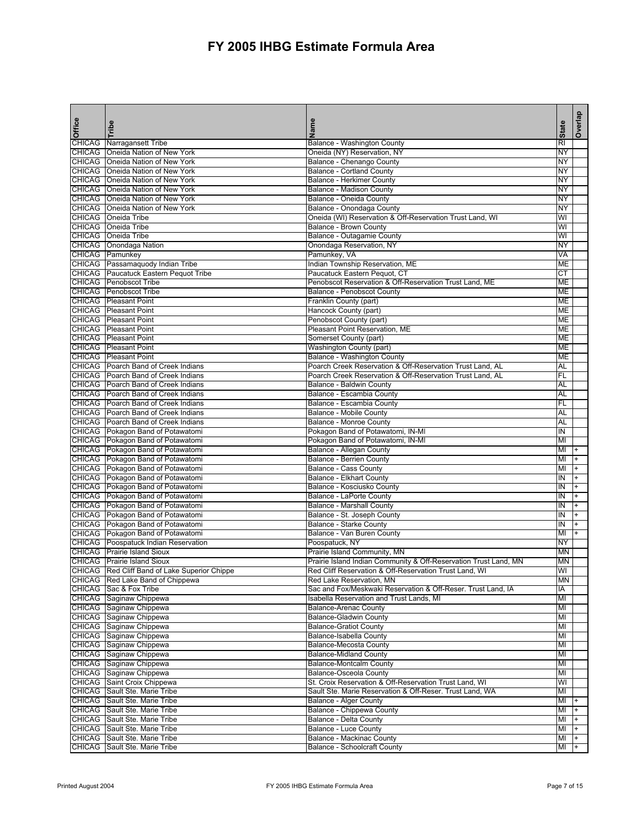| <b>Office</b> | Tribe                                                                             | Name                                                                               | <b>State</b>    | Overlap   |
|---------------|-----------------------------------------------------------------------------------|------------------------------------------------------------------------------------|-----------------|-----------|
|               | CHICAG Narragansett Tribe                                                         | Balance - Washington County                                                        | $\overline{R}$  |           |
|               | <b>CHICAG</b>   Oneida Nation of New York                                         | Oneida (NY) Reservation, NY                                                        | NY              |           |
|               | CHICAG   Oneida Nation of New York                                                | Balance - Chenango County                                                          | NY              |           |
|               | CHICAG   Oneida Nation of New York                                                | <b>Balance - Cortland County</b>                                                   | NΥ              |           |
|               | <b>CHICAG</b> Oneida Nation of New York                                           | <b>Balance - Herkimer County</b>                                                   | NY              |           |
|               | CHICAG   Oneida Nation of New York                                                | Balance - Madison County                                                           | NY              |           |
|               | <b>CHICAG</b> Oneida Nation of New York                                           | Balance - Oneida County                                                            | NY              |           |
|               | CHICAG   Oneida Nation of New York                                                | Balance - Onondaga County                                                          | NY              |           |
|               | <b>CHICAG</b> Oneida Tribe                                                        | Oneida (WI) Reservation & Off-Reservation Trust Land, WI                           | WI              |           |
|               | CHICAG Oneida Tribe                                                               | <b>Balance - Brown County</b>                                                      | WI              |           |
|               | CHICAG Oneida Tribe                                                               | Balance - Outagamie County                                                         | WI              |           |
|               | CHICAG Onondaga Nation                                                            | Onondaga Reservation, NY                                                           | NY              |           |
|               | CHICAG Pamunkey                                                                   | Pamunkey, VA                                                                       | VA              |           |
|               | CHICAG Passamaquody Indian Tribe                                                  | Indian Township Reservation, ME                                                    | ME              |           |
|               | CHICAG Paucatuck Eastern Pequot Tribe<br><b>CHICAG</b> Penobscot Tribe            | Paucatuck Eastern Pequot, CT                                                       | СT              |           |
|               | <b>CHICAG</b> Penobscot Tribe                                                     | Penobscot Reservation & Off-Reservation Trust Land, ME                             | ME              |           |
|               | <b>CHICAG</b> Pleasant Point                                                      | Balance - Penobscot County                                                         | ME              |           |
|               | <b>CHICAG Pleasant Point</b>                                                      | Franklin County (part)                                                             | ME<br>ME        |           |
|               | <b>CHICAG</b> Pleasant Point                                                      | Hancock County (part)<br>Penobscot County (part)                                   | ME              |           |
| <b>CHICAG</b> | <b>Pleasant Point</b>                                                             | Pleasant Point Reservation, ME                                                     | МЕ              |           |
|               | <b>CHICAG</b> Pleasant Point                                                      | Somerset County (part)                                                             | ME              |           |
|               | <b>CHICAG</b> Pleasant Point                                                      | Washington County (part)                                                           | ME              |           |
|               | <b>CHICAG</b> Pleasant Point                                                      | Balance - Washington County                                                        | ME              |           |
|               | CHICAG Poarch Band of Creek Indians                                               | Poarch Creek Reservation & Off-Reservation Trust Land, AL                          | AL              |           |
|               | CHICAG Poarch Band of Creek Indians                                               | Poarch Creek Reservation & Off-Reservation Trust Land, AL                          | FL              |           |
|               | CHICAG Poarch Band of Creek Indians                                               | Balance - Baldwin County                                                           | AL              |           |
|               | CHICAG Poarch Band of Creek Indians                                               | Balance - Escambia County                                                          | AL              |           |
|               | CHICAG Poarch Band of Creek Indians                                               | Balance - Escambia County                                                          | FL              |           |
|               | CHICAG Poarch Band of Creek Indians                                               | Balance - Mobile County                                                            | AL              |           |
|               | CHICAG Poarch Band of Creek Indians                                               | <b>Balance - Monroe County</b>                                                     | AL              |           |
|               | CHICAG Pokagon Band of Potawatomi                                                 | Pokagon Band of Potawatomi, IN-MI                                                  | IN              |           |
|               | CHICAG Pokagon Band of Potawatomi                                                 | Pokagon Band of Potawatomi, IN-MI                                                  | MI              |           |
|               | CHICAG Pokagon Band of Potawatomi                                                 | Balance - Allegan County                                                           | MI              |           |
|               | CHICAG Pokagon Band of Potawatomi                                                 | <b>Balance - Berrien County</b>                                                    | MI              |           |
|               | CHICAG Pokagon Band of Potawatomi                                                 | Balance - Cass County                                                              | MI              |           |
|               | CHICAG Pokagon Band of Potawatomi                                                 | <b>Balance - Elkhart County</b>                                                    | IN              | $\ddot{}$ |
|               | CHICAG Pokagon Band of Potawatomi                                                 | Balance - Kosciusko County                                                         | IN              | $+$       |
|               | CHICAG Pokagon Band of Potawatomi                                                 | Balance - LaPorte County                                                           | IN              |           |
|               | CHICAG Pokagon Band of Potawatomi                                                 | <b>Balance - Marshall County</b>                                                   | IN              |           |
|               | CHICAG Pokagon Band of Potawatomi                                                 | Balance - St. Joseph County                                                        | ΙN              |           |
|               | CHICAG Pokagon Band of Potawatomi                                                 | Balance - Starke County                                                            | ΙN              |           |
|               | CHICAG Pokagon Band of Potawatomi                                                 | Balance - Van Buren County                                                         | MI              |           |
|               | <b>CHICAG</b> Poospatuck Indian Reservation<br><b>CHICAG</b> Prairie Island Sioux | Poospatuck, NY                                                                     | NY              |           |
|               |                                                                                   | Prairie Island Community, MN                                                       | MN              |           |
|               | CHICAG Prairie Island Sioux                                                       | Prairie Island Indian Community & Off-Reservation Trust Land, MN                   | MN              |           |
|               | CHICAG Red Cliff Band of Lake Superior Chippe<br>CHICAG Red Lake Band of Chippewa | Red Cliff Reservation & Off-Reservation Trust Land, WI<br>Red Lake Reservation, MN | WI<br><b>MN</b> |           |
|               | CHICAG Sac & Fox Tribe                                                            | Sac and Fox/Meskwaki Reservation & Off-Reser. Trust Land, IA                       | IA              |           |
|               | CHICAG Saginaw Chippewa                                                           | Isabella Reservation and Trust Lands, MI                                           | MI              |           |
|               | CHICAG Saginaw Chippewa                                                           | <b>Balance-Arenac County</b>                                                       | ΜI              |           |
|               | CHICAG Saginaw Chippewa                                                           | <b>Balance-Gladwin County</b>                                                      | ΜI              |           |
|               | CHICAG Saginaw Chippewa                                                           | <b>Balance-Gratiot County</b>                                                      | MI              |           |
|               | CHICAG Saginaw Chippewa                                                           | Balance-Isabella County                                                            | MI              |           |
|               | CHICAG Saginaw Chippewa                                                           | <b>Balance-Mecosta County</b>                                                      | MI              |           |
|               | CHICAG Saginaw Chippewa                                                           | <b>Balance-Midland County</b>                                                      | MI              |           |
|               | CHICAG Saginaw Chippewa                                                           | <b>Balance-Montcalm County</b>                                                     | MI              |           |
|               | CHICAG Saginaw Chippewa                                                           | <b>Balance-Osceola County</b>                                                      | MI              |           |
|               | CHICAG Saint Croix Chippewa                                                       | St. Croix Reservation & Off-Reservation Trust Land, WI                             | WI              |           |
|               | CHICAG Sault Ste. Marie Tribe                                                     | Sault Ste. Marie Reservation & Off-Reser. Trust Land, WA                           | ΜI              |           |
|               | CHICAG Sault Ste. Marie Tribe                                                     | <b>Balance - Alger County</b>                                                      | MI              |           |
|               | CHICAG Sault Ste. Marie Tribe                                                     | Balance - Chippewa County                                                          | MI              | $+$       |
|               | CHICAG Sault Ste. Marie Tribe                                                     | Balance - Delta County                                                             | MI              | $+$       |
|               | CHICAG Sault Ste. Marie Tribe                                                     | Balance - Luce County                                                              | MI              |           |
|               | CHICAG Sault Ste. Marie Tribe                                                     | Balance - Mackinac County                                                          | MI              | $+$       |
|               | CHICAG Sault Ste. Marie Tribe                                                     | <b>Balance - Schoolcraft County</b>                                                | MI              |           |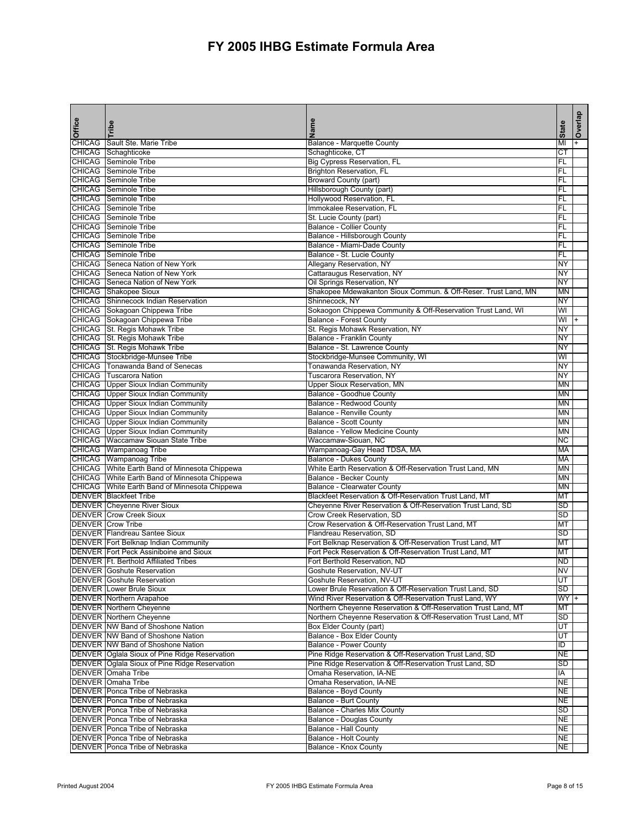| Office        | Tribe                                                                                            | Name                                                                                      | <b>State</b>           | Overlap |
|---------------|--------------------------------------------------------------------------------------------------|-------------------------------------------------------------------------------------------|------------------------|---------|
| <b>CHICAG</b> | Sault Ste. Marie Tribe                                                                           | Balance - Marquette County                                                                | MI                     |         |
| <b>CHICAG</b> | Schaghticoke                                                                                     | Schaghticoke, CT                                                                          | СT                     |         |
| <b>CHICAG</b> | Seminole Tribe                                                                                   | Big Cypress Reservation, FL                                                               | FL                     |         |
| <b>CHICAG</b> | Seminole Tribe                                                                                   | <b>Brighton Reservation, FL</b>                                                           | FL                     |         |
|               | <b>CHICAG</b> Seminole Tribe                                                                     | <b>Broward County (part)</b>                                                              | FL                     |         |
| <b>CHICAG</b> | Seminole Tribe<br><b>CHICAG</b> Seminole Tribe                                                   | Hillsborough County (part)<br>Hollywood Reservation, FL                                   | FL<br>FL               |         |
|               | <b>CHICAG</b> Seminole Tribe                                                                     | Immokalee Reservation, FL                                                                 | FL                     |         |
|               | CHICAG Seminole Tribe                                                                            | St. Lucie County (part)                                                                   | FL                     |         |
|               | <b>CHICAG</b> Seminole Tribe                                                                     | <b>Balance - Collier County</b>                                                           | FL                     |         |
|               | <b>CHICAG</b> Seminole Tribe                                                                     | Balance - Hillsborough County                                                             | FL                     |         |
|               | <b>CHICAG</b> Seminole Tribe                                                                     | Balance - Miami-Dade County                                                               | FL                     |         |
|               | <b>CHICAG</b> Seminole Tribe                                                                     | Balance - St. Lucie County                                                                | FL                     |         |
|               | CHICAG Seneca Nation of New York                                                                 | Allegany Reservation, NY                                                                  | NY                     |         |
|               | CHICAG Seneca Nation of New York                                                                 | Cattaraugus Reservation, NY                                                               | NY                     |         |
|               | CHICAG Seneca Nation of New York                                                                 | Oil Springs Reservation, NY                                                               | NY                     |         |
|               | CHICAG Shakopee Sioux                                                                            | Shakopee Mdewakanton Sioux Commun. & Off-Reser. Trust Land, MN                            | <b>MN</b>              |         |
|               | <b>CHICAG</b> Shinnecock Indian Reservation                                                      | Shinnecock, NY                                                                            | <b>NY</b>              |         |
|               | CHICAG Sokagoan Chippewa Tribe                                                                   | Sokaogon Chippewa Community & Off-Reservation Trust Land, WI                              | WI                     |         |
|               | CHICAG Sokagoan Chippewa Tribe                                                                   | <b>Balance - Forest County</b>                                                            | WI<br>NY               |         |
|               | CHICAG St. Regis Mohawk Tribe                                                                    | St. Regis Mohawk Reservation, NY                                                          | NY                     |         |
|               | CHICAG St. Regis Mohawk Tribe<br>CHICAG St. Regis Mohawk Tribe                                   | <b>Balance - Franklin County</b><br>Balance - St. Lawrence County                         | NY                     |         |
|               | CHICAG Stockbridge-Munsee Tribe                                                                  | Stockbridge-Munsee Community, WI                                                          | WI                     |         |
|               | CHICAG   Tonawanda Band of Senecas                                                               | Tonawanda Reservation, NY                                                                 | NY                     |         |
|               | <b>CHICAG</b> Tuscarora Nation                                                                   | <b>Tuscarora Reservation, NY</b>                                                          | NY                     |         |
|               | <b>CHICAG</b> Upper Sioux Indian Community                                                       | <b>Upper Sioux Reservation, MN</b>                                                        | <b>MN</b>              |         |
|               | <b>CHICAG</b> Upper Sioux Indian Community                                                       | <b>Balance - Goodhue County</b>                                                           | <b>MN</b>              |         |
|               | <b>CHICAG</b> Upper Sioux Indian Community                                                       | Balance - Redwood County                                                                  | <b>MN</b>              |         |
|               | <b>CHICAG</b> Upper Sioux Indian Community                                                       | <b>Balance - Renville County</b>                                                          | <b>MN</b>              |         |
|               | CHICAG Upper Sioux Indian Community                                                              | <b>Balance - Scott County</b>                                                             | <b>MN</b>              |         |
|               | <b>CHICAG</b> Upper Sioux Indian Community                                                       | Balance - Yellow Medicine County                                                          | <b>MN</b>              |         |
|               | <b>CHICAG</b> Waccamaw Siouan State Tribe                                                        | Waccamaw-Siouan, NC                                                                       | NС                     |         |
|               | CHICAG Wampanoag Tribe                                                                           | Wampanoag-Gay Head TDSA, MA                                                               | <b>MA</b>              |         |
|               | CHICAG Wampanoag Tribe                                                                           | <b>Balance - Dukes County</b>                                                             | <b>MA</b>              |         |
|               | CHICAG   White Earth Band of Minnesota Chippewa                                                  | White Earth Reservation & Off-Reservation Trust Land, MN                                  | <b>MN</b>              |         |
|               | CHICAG White Earth Band of Minnesota Chippewa<br>CHICAG   White Earth Band of Minnesota Chippewa | Balance - Becker County<br><b>Balance - Clearwater County</b>                             | <b>MN</b><br><b>MN</b> |         |
|               | <b>DENVER Blackfeet Tribe</b>                                                                    | Blackfeet Reservation & Off-Reservation Trust Land, MT                                    | MT                     |         |
|               | <b>DENVER Cheyenne River Sioux</b>                                                               | Cheyenne River Reservation & Off-Reservation Trust Land, SD                               | SD                     |         |
|               | <b>DENVER Crow Creek Sioux</b>                                                                   | Crow Creek Reservation, SD                                                                | <b>SD</b>              |         |
|               | <b>DENVER Crow Tribe</b>                                                                         | Crow Reservation & Off-Reservation Trust Land, MT                                         | MT                     |         |
|               | DENVER Flandreau Santee Sioux                                                                    | Flandreau Reservation, SD                                                                 | <b>SD</b>              |         |
|               | <b>DENVER Fort Belknap Indian Community</b>                                                      | Fort Belknap Reservation & Off-Reservation Trust Land, MT                                 | МT                     |         |
|               | DENVER Fort Peck Assiniboine and Sioux                                                           | Fort Peck Reservation & Off-Reservation Trust Land, MT                                    | МT                     |         |
|               | DENVER   Ft. Berthold Affiliated Tribes                                                          | Fort Berthold Reservation, ND                                                             | <b>ND</b>              |         |
|               | <b>DENVER</b> Goshute Reservation                                                                | Goshute Reservation, NV-UT                                                                | <b>NV</b>              |         |
|               | <b>DENVER Goshute Reservation</b>                                                                | Goshute Reservation, NV-UT                                                                | UT                     |         |
|               | <b>DENVER</b> Lower Brule Sioux                                                                  | Lower Brule Reservation & Off-Reservation Trust Land, SD                                  | SD                     |         |
|               | <b>DENVER</b> Northern Arapahoe                                                                  | Wind River Reservation & Off-Reservation Trust Land, WY                                   | <b>WY</b>              |         |
|               | <b>DENVER</b> Northern Cheyenne                                                                  | Northern Cheyenne Reservation & Off-Reservation Trust Land, MT                            | MT                     |         |
|               | <b>DENVER Northern Cheyenne</b>                                                                  | Northern Cheyenne Reservation & Off-Reservation Trust Land, MT<br>Box Elder County (part) | SD<br>UT               |         |
|               | DENVER NW Band of Shoshone Nation<br>DENVER NW Band of Shoshone Nation                           | <b>Balance - Box Elder County</b>                                                         | UT                     |         |
|               | DENVER NW Band of Shoshone Nation                                                                | <b>Balance - Power County</b>                                                             | ID                     |         |
|               | DENVER Oglala Sioux of Pine Ridge Reservation                                                    | Pine Ridge Reservation & Off-Reservation Trust Land, SD                                   | <b>NE</b>              |         |
|               | DENVER Oglala Sioux of Pine Ridge Reservation                                                    | Pine Ridge Reservation & Off-Reservation Trust Land, SD                                   | <b>SD</b>              |         |
|               | <b>DENVER</b> Omaha Tribe                                                                        | Omaha Reservation, IA-NE                                                                  | IA                     |         |
|               | DENVER Omaha Tribe                                                                               | Omaha Reservation, IA-NE                                                                  | <b>NE</b>              |         |
|               | DENVER   Ponca Tribe of Nebraska                                                                 | Balance - Boyd County                                                                     | NE                     |         |
|               | DENVER   Ponca Tribe of Nebraska                                                                 | Balance - Burt County                                                                     | NE                     |         |
|               | DENVER Ponca Tribe of Nebraska                                                                   | Balance - Charles Mix County                                                              | <b>SD</b>              |         |
|               | DENVER Ponca Tribe of Nebraska                                                                   | Balance - Douglas County                                                                  | NE                     |         |
|               | DENVER   Ponca Tribe of Nebraska                                                                 | Balance - Hall County                                                                     | <b>NE</b>              |         |
|               | DENVER   Ponca Tribe of Nebraska                                                                 | Balance - Holt County                                                                     | <b>NE</b>              |         |
|               | DENVER   Ponca Tribe of Nebraska                                                                 | Balance - Knox County                                                                     | <b>NE</b>              |         |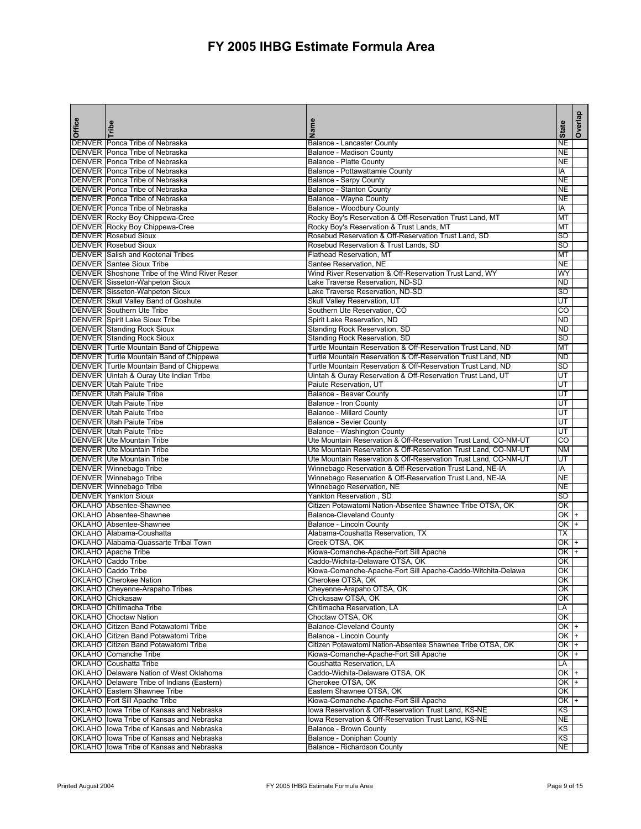| Office | Tribe                                                                        | Name                                                                                          | <b>State</b>        | Overlap |
|--------|------------------------------------------------------------------------------|-----------------------------------------------------------------------------------------------|---------------------|---------|
|        | DENVER Ponca Tribe of Nebraska                                               | Balance - Lancaster County                                                                    | NΕ                  |         |
|        | DENVER Ponca Tribe of Nebraska                                               | <b>Balance - Madison County</b>                                                               | NΕ                  |         |
|        | DENVER Ponca Tribe of Nebraska                                               | Balance - Platte County                                                                       | <b>NE</b>           |         |
|        | DENVER Ponca Tribe of Nebraska                                               | Balance - Pottawattamie County                                                                | IA                  |         |
|        | DENVER Ponca Tribe of Nebraska                                               | <b>Balance - Sarpy County</b>                                                                 | NE                  |         |
|        | DENVER Ponca Tribe of Nebraska                                               | <b>Balance - Stanton County</b>                                                               | <b>NE</b><br>NE     |         |
|        | DENVER Ponca Tribe of Nebraska<br>DENVER Ponca Tribe of Nebraska             | Balance - Wayne County<br>Balance - Woodbury County                                           | IA                  |         |
|        | DENVER Rocky Boy Chippewa-Cree                                               | Rocky Boy's Reservation & Off-Reservation Trust Land, MT                                      | MT                  |         |
|        | DENVER Rocky Boy Chippewa-Cree                                               | Rocky Boy's Reservation & Trust Lands, MT                                                     | МT                  |         |
|        | <b>DENVER Rosebud Sioux</b>                                                  | Rosebud Reservation & Off-Reservation Trust Land, SD                                          | SD                  |         |
|        | <b>DENVER Rosebud Sioux</b>                                                  | Rosebud Reservation & Trust Lands, SD                                                         | <b>SD</b>           |         |
|        | <b>DENVER</b> Salish and Kootenai Tribes                                     | <b>Flathead Reservation, MT</b>                                                               | MT                  |         |
|        | <b>DENVER Santee Sioux Tribe</b>                                             | Santee Reservation, NE                                                                        | NE                  |         |
|        | DENVER Shoshone Tribe of the Wind River Reser                                | Wind River Reservation & Off-Reservation Trust Land, WY                                       | WY                  |         |
|        | <b>DENVER</b> Sisseton-Wahpeton Sioux                                        | Lake Traverse Reservation, ND-SD                                                              | <b>ND</b>           |         |
|        | <b>DENVER</b> Sisseton-Wahpeton Sioux                                        | Lake Traverse Reservation, ND-SD                                                              | <b>SD</b>           |         |
|        | <b>DENVER Skull Valley Band of Goshute</b>                                   | Skull Valley Reservation, UT                                                                  | UT                  |         |
|        | <b>DENVER</b> Southern Ute Tribe                                             | Southern Ute Reservation, CO                                                                  | $\overline{c}$      |         |
|        | <b>DENVER</b> Spirit Lake Sioux Tribe                                        | Spirit Lake Reservation, ND                                                                   | <b>ND</b>           |         |
|        | <b>DENVER</b> Standing Rock Sioux                                            | Standing Rock Reservation, SD                                                                 | <b>ND</b><br>SD     |         |
|        | <b>DENVER Standing Rock Sioux</b><br>DENVER Turtle Mountain Band of Chippewa | Standing Rock Reservation, SD<br>Turtle Mountain Reservation & Off-Reservation Trust Land, ND | МT                  |         |
|        | DENVER Turtle Mountain Band of Chippewa                                      | Turtle Mountain Reservation & Off-Reservation Trust Land, ND                                  | <b>ND</b>           |         |
|        | DENVER Turtle Mountain Band of Chippewa                                      | Turtle Mountain Reservation & Off-Reservation Trust Land, ND                                  | <b>SD</b>           |         |
|        | DENVER Uintah & Ouray Ute Indian Tribe                                       | Uintah & Ouray Reservation & Off-Reservation Trust Land, UT                                   | UT                  |         |
|        | <b>DENVER Utah Paiute Tribe</b>                                              | Paiute Reservation, UT                                                                        | UT                  |         |
|        | <b>DENVER Utah Paiute Tribe</b>                                              | <b>Balance - Beaver County</b>                                                                | UT                  |         |
|        | <b>DENVER Utah Paiute Tribe</b>                                              | <b>Balance - Iron County</b>                                                                  | UT                  |         |
|        | <b>DENVER Utah Paiute Tribe</b>                                              | <b>Balance - Millard County</b>                                                               | UT                  |         |
|        | <b>DENVER Utah Paiute Tribe</b>                                              | <b>Balance - Sevier County</b>                                                                | UT                  |         |
|        | <b>DENVER Utah Paiute Tribe</b>                                              | Balance - Washington County                                                                   | UT                  |         |
|        | <b>DENVER Ute Mountain Tribe</b>                                             | Ute Mountain Reservation & Off-Reservation Trust Land, CO-NM-UT                               | $\overline{c}$      |         |
|        | <b>DENVER Ute Mountain Tribe</b>                                             | Ute Mountain Reservation & Off-Reservation Trust Land, CO-NM-UT                               | <b>NM</b>           |         |
|        | <b>DENVER</b> Ute Mountain Tribe                                             | Ute Mountain Reservation & Off-Reservation Trust Land, CO-NM-UT                               | UT                  |         |
|        | <b>DENVER</b> Winnebago Tribe                                                | Winnebago Reservation & Off-Reservation Trust Land, NE-IA                                     | IA                  |         |
|        | DENVER Winnebago Tribe<br><b>DENVER</b> Winnebago Tribe                      | Winnebago Reservation & Off-Reservation Trust Land, NE-IA<br>Winnebago Reservation, NE        | <b>NE</b><br>NE     |         |
|        | <b>DENVER Yankton Sioux</b>                                                  | Yankton Reservation, SD                                                                       | <b>SD</b>           |         |
|        | OKLAHO Absentee-Shawnee                                                      | Citizen Potawatomi Nation-Absentee Shawnee Tribe OTSA, OK                                     | OK                  |         |
|        | OKLAHO Absentee-Shawnee                                                      | <b>Balance-Cleveland County</b>                                                               | ОΚ                  |         |
|        | OKLAHO Absentee-Shawnee                                                      | <b>Balance - Lincoln County</b>                                                               | OK                  |         |
|        | OKLAHO Alabama-Coushatta                                                     | Alabama-Coushatta Reservation, TX                                                             | ТX                  |         |
|        | OKLAHO Alabama-Quassarte Tribal Town                                         | Creek OTSA, OK                                                                                | ОK                  |         |
|        | OKLAHO Apache Tribe                                                          | Kiowa-Comanche-Apache-Fort Sill Apache                                                        | ОΚ                  |         |
|        | OKLAHO Caddo Tribe                                                           | Caddo-Wichita-Delaware OTSA, OK                                                               | OK                  |         |
|        | OKLAHO Caddo Tribe                                                           | Kiowa-Comanche-Apache-Fort Sill Apache-Caddo-Witchita-Delawa                                  | OK                  |         |
|        | <b>OKLAHO</b> Cherokee Nation                                                | Cherokee OTSA, OK                                                                             | OK                  |         |
|        | OKLAHO Cheyenne-Arapaho Tribes                                               | Cheyenne-Arapaho OTSA, OK                                                                     | OK                  |         |
|        | OKLAHO Chickasaw                                                             | Chickasaw OTSA, OK                                                                            | OK                  |         |
|        | OKLAHO Chitimacha Tribe                                                      | Chitimacha Reservation, LA                                                                    | LA                  |         |
|        | <b>OKLAHO</b> Choctaw Nation<br>OKLAHO Citizen Band Potawatomi Tribe         | Choctaw OTSA, OK<br><b>Balance-Cleveland County</b>                                           | OK<br>OK            |         |
|        | OKLAHO Citizen Band Potawatomi Tribe                                         | Balance - Lincoln County                                                                      | OK                  |         |
|        | OKLAHO Citizen Band Potawatomi Tribe                                         | Citizen Potawatomi Nation-Absentee Shawnee Tribe OTSA, OK                                     | OK                  |         |
|        | OKLAHO Comanche Tribe                                                        | Kiowa-Comanche-Apache-Fort Sill Apache                                                        | OK                  |         |
|        | OKLAHO Coushatta Tribe                                                       | Coushatta Reservation, LA                                                                     | LA                  |         |
|        | OKLAHO   Delaware Nation of West Oklahoma                                    | Caddo-Wichita-Delaware OTSA, OK                                                               | OK                  |         |
|        | OKLAHO   Delaware Tribe of Indians (Eastern)                                 | Cherokee OTSA, OK                                                                             | $\overline{\alpha}$ |         |
|        | OKLAHO Eastern Shawnee Tribe                                                 | Eastern Shawnee OTSA, OK                                                                      | OK                  |         |
|        | OKLAHO   Fort Sill Apache Tribe                                              | Kiowa-Comanche-Apache-Fort Sill Apache                                                        | OK                  |         |
|        | OKLAHO lowa Tribe of Kansas and Nebraska                                     | lowa Reservation & Off-Reservation Trust Land, KS-NE                                          | KS                  |         |
|        | OKLAHO lowa Tribe of Kansas and Nebraska                                     | lowa Reservation & Off-Reservation Trust Land, KS-NE                                          | NE                  |         |
|        | OKLAHO lowa Tribe of Kansas and Nebraska                                     | <b>Balance - Brown County</b>                                                                 | ΚS                  |         |
|        | OKLAHO lowa Tribe of Kansas and Nebraska                                     | Balance - Doniphan County                                                                     | KS                  |         |
|        | OKLAHO lowa Tribe of Kansas and Nebraska                                     | Balance - Richardson County                                                                   | <b>NE</b>           |         |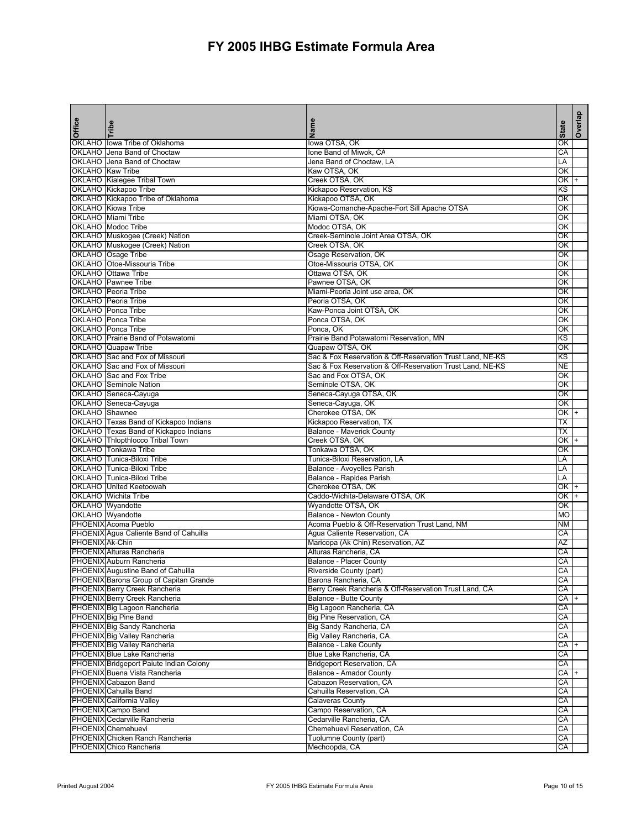| <b>Office</b>   | Tribe                                                                        | Name                                                      | <b>State</b> | Overlap |
|-----------------|------------------------------------------------------------------------------|-----------------------------------------------------------|--------------|---------|
|                 |                                                                              |                                                           |              |         |
| OKLAHO          | OKLAHO lowa Tribe of Oklahoma<br>Jena Band of Choctaw                        | lowa OTSA, OK<br>Ione Band of Miwok, CA                   | ΟK<br>CA     |         |
|                 | OKLAHO Jena Band of Choctaw                                                  | Jena Band of Choctaw, LA                                  | LA           |         |
|                 | <b>OKLAHO</b> Kaw Tribe                                                      | Kaw OTSA, OK                                              | ОΚ           |         |
|                 | OKLAHO Kialegee Tribal Town                                                  | Creek OTSA, OK                                            | ОΚ           |         |
|                 | OKLAHO Kickapoo Tribe                                                        | Kickapoo Reservation, KS                                  | KS           |         |
|                 | OKLAHO Kickapoo Tribe of Oklahoma                                            | Kickapoo OTSA, OK                                         | OK           |         |
|                 | <b>OKLAHO</b> Kiowa Tribe                                                    | Kiowa-Comanche-Apache-Fort Sill Apache OTSA               | OK           |         |
|                 | OKLAHO Miami Tribe                                                           | Miami OTSA, OK                                            | OK           |         |
|                 | <b>OKLAHO</b> Modoc Tribe                                                    | Modoc OTSA, OK                                            | OK           |         |
|                 | OKLAHO Muskogee (Creek) Nation                                               | Creek-Seminole Joint Area OTSA, OK                        | OK           |         |
|                 | OKLAHO Muskogee (Creek) Nation                                               | Creek OTSA, OK                                            | OK           |         |
|                 | OKLAHO Osage Tribe                                                           | Osage Reservation, OK                                     | ОΚ           |         |
|                 | OKLAHO   Otoe-Missouria Tribe                                                | Otoe-Missouria OTSA, OK                                   | ОΚ           |         |
|                 | OKLAHO Ottawa Tribe                                                          | Ottawa OTSA, OK                                           | OK           |         |
|                 | <b>OKLAHO</b> Pawnee Tribe                                                   | Pawnee OTSA, OK                                           | ОΚ           |         |
|                 | OKLAHO Peoria Tribe                                                          | Miami-Peoria Joint use area, OK                           | ОΚ           |         |
|                 | OKLAHO Peoria Tribe                                                          | Peoria OTSA, OK                                           | ОΚ           |         |
|                 | <b>OKLAHO</b> Ponca Tribe                                                    | Kaw-Ponca Joint OTSA, OK                                  | QK           |         |
|                 | OKLAHO Ponca Tribe                                                           | Ponca OTSA, OK                                            | QK           |         |
|                 | OKLAHO Ponca Tribe                                                           | Ponca, OK                                                 | ОK           |         |
|                 | OKLAHO Prairie Band of Potawatomi                                            | Prairie Band Potawatomi Reservation, MN                   | ΚS           |         |
|                 | <b>OKLAHO</b> Quapaw Tribe                                                   | Quapaw OTSA, OK                                           | OK           |         |
|                 | OKLAHO Sac and Fox of Missouri                                               | Sac & Fox Reservation & Off-Reservation Trust Land, NE-KS | ΚS           |         |
|                 | OKLAHO Sac and Fox of Missouri                                               | Sac & Fox Reservation & Off-Reservation Trust Land, NE-KS | NE           |         |
|                 | OKLAHO Sac and Fox Tribe                                                     | Sac and Fox OTSA, OK                                      | ОΚ           |         |
|                 | <b>OKLAHO</b> Seminole Nation                                                | Seminole OTSA, OK                                         | ОΚ           |         |
|                 | OKLAHO Seneca-Cayuga                                                         | Seneca-Cayuga OTSA, OK                                    | ОΚ           |         |
|                 | OKLAHO Seneca-Cayuga                                                         | Seneca-Cayuga, OK                                         | ОΚ           |         |
| OKLAHO Shawnee  |                                                                              | Cherokee OTSA, OK                                         | ОK           |         |
|                 | OKLAHO Texas Band of Kickapoo Indians                                        | Kickapoo Reservation, TX                                  | ТX           |         |
|                 | OKLAHO Texas Band of Kickapoo Indians                                        | <b>Balance - Maverick County</b>                          | ТX           |         |
|                 | OKLAHO Thlopthlocco Tribal Town                                              | Creek OTSA, OK                                            | OK +         |         |
|                 | OKLAHO Tonkawa Tribe                                                         | Tonkawa OTSA, OK                                          | OK           |         |
|                 | OKLAHO Tunica-Biloxi Tribe                                                   | Tunica-Biloxi Reservation, LA                             | LA           |         |
|                 | OKLAHO Tunica-Biloxi Tribe                                                   | Balance - Avoyelles Parish                                | LA           |         |
|                 | OKLAHO Tunica-Biloxi Tribe                                                   | Balance - Rapides Parish                                  | LA           |         |
|                 | OKLAHO United Keetoowah                                                      | Cherokee OTSA, OK                                         | ОK           | $+$     |
|                 | <b>OKLAHO</b> Wichita Tribe                                                  | Caddo-Wichita-Delaware OTSA, OK                           | ОK           |         |
|                 | OKLAHO Wyandotte                                                             | Wyandotte OTSA, OK                                        | OK           |         |
|                 | <b>OKLAHO</b> Wyandotte                                                      | <b>Balance - Newton County</b>                            | <b>MO</b>    |         |
|                 | PHOENIX Acoma Pueblo                                                         | Acoma Pueblo & Off-Reservation Trust Land, NM             | <b>NM</b>    |         |
|                 | PHOENIX Agua Caliente Band of Cahuilla                                       | Agua Caliente Reservation, CA                             | CA           |         |
| PHOENIX Ak-Chin |                                                                              | Maricopa (Ak Chin) Reservation, AZ                        | ΑZ           |         |
|                 | PHOENIX Alturas Rancheria<br>PHOENIX Auburn Rancheria                        | Alturas Rancheria, CA<br><b>Balance - Placer County</b>   | СA           |         |
|                 |                                                                              | Riverside County (part)                                   | СA<br>CA     |         |
|                 | PHOENIX Augustine Band of Cahuilla<br>PHOENIX Barona Group of Capitan Grande | Barona Rancheria, CA                                      | CA           |         |
|                 | PHOENIX Berry Creek Rancheria                                                | Berry Creek Rancheria & Off-Reservation Trust Land, CA    | СA           |         |
|                 | PHOENIX Berry Creek Rancheria                                                | Balance - Butte County                                    | CA +         |         |
|                 | PHOENIX Big Lagoon Rancheria                                                 | Big Lagoon Rancheria, CA                                  | СA           |         |
|                 | PHOENIX Big Pine Band                                                        | Big Pine Reservation, CA                                  | СA           |         |
|                 | PHOENIX Big Sandy Rancheria                                                  | Big Sandy Rancheria, CA                                   | CA           |         |
|                 | PHOENIX Big Valley Rancheria                                                 | Big Valley Rancheria, CA                                  | СA           |         |
|                 | PHOENIX Big Valley Rancheria                                                 | Balance - Lake County                                     | CA           |         |
|                 | PHOENIX Blue Lake Rancheria                                                  | Blue Lake Rancheria, CA                                   | CA           |         |
|                 | PHOENIX Bridgeport Paiute Indian Colony                                      | <b>Bridgeport Reservation, CA</b>                         | СA           |         |
|                 | PHOENIX Buena Vista Rancheria                                                | <b>Balance - Amador County</b>                            | $CA +$       |         |
|                 | PHOENIX Cabazon Band                                                         | Cabazon Reservation, CA                                   | CA           |         |
|                 | PHOENIX Cahuilla Band                                                        | Cahuilla Reservation, CA                                  | СA           |         |
|                 | PHOENIX California Valley                                                    | <b>Calaveras County</b>                                   | CA           |         |
|                 | PHOENIX Campo Band                                                           | Campo Reservation, CA                                     | СA           |         |
|                 | PHOENIX Cedarville Rancheria                                                 | Cedarville Rancheria, CA                                  | CA           |         |
|                 | PHOENIX Chemehuevi                                                           | Chemehuevi Reservation, CA                                | CA           |         |
|                 | PHOENIX Chicken Ranch Rancheria                                              | Tuolumne County (part)                                    | CA           |         |
|                 | PHOENIX Chico Rancheria                                                      | Mechoopda, CA                                             | CA           |         |
|                 |                                                                              |                                                           |              |         |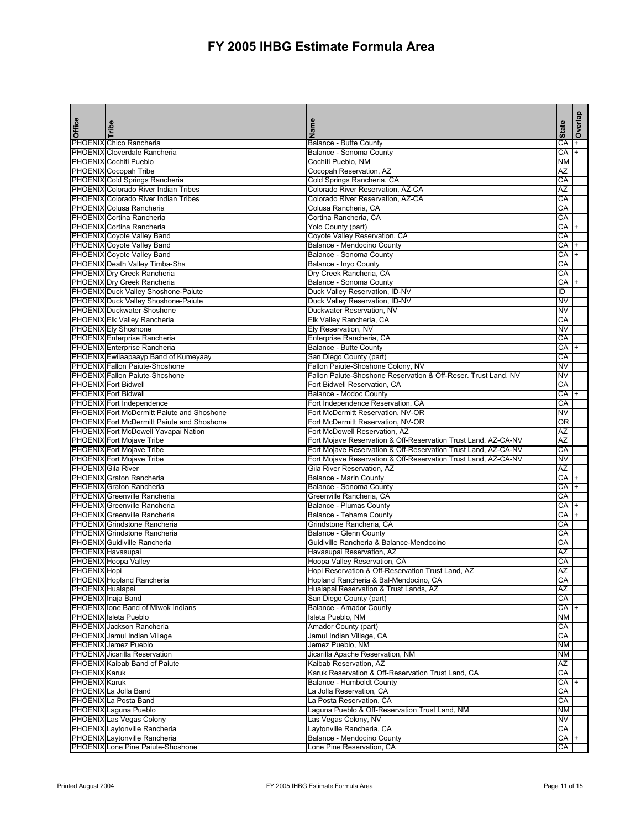| <b>Office</b>        | Tribe                                                                                                  | Name<br>Z                                                              | <b>State</b> | Overlap   |
|----------------------|--------------------------------------------------------------------------------------------------------|------------------------------------------------------------------------|--------------|-----------|
|                      | PHOENIX Chico Rancheria                                                                                | Balance - Butte County                                                 | CA           | $\ddot{}$ |
|                      | PHOENIX Cloverdale Rancheria                                                                           | Balance - Sonoma County                                                | CA           | $+$       |
|                      | PHOENIX Cochiti Pueblo<br><b>PHOENIX</b> Cocopah Tribe                                                 | Cochiti Pueblo, NM<br>Cocopah Reservation, AZ                          | <b>NM</b>    |           |
|                      | PHOENIX Cold Springs Rancheria                                                                         | Cold Springs Rancheria, CA                                             | AZ<br>CA     |           |
|                      | PHOENIX Colorado River Indian Tribes                                                                   | Colorado River Reservation, AZ-CA                                      | AZ           |           |
|                      | <b>PHOENIX</b> Colorado River Indian Tribes                                                            | Colorado River Reservation, AZ-CA                                      | CA           |           |
|                      | PHOENIX Colusa Rancheria                                                                               | Colusa Rancheria, CA                                                   | СA           |           |
|                      | PHOENIX Cortina Rancheria                                                                              | Cortina Rancheria, CA                                                  | СA           |           |
|                      | PHOENIX Cortina Rancheria                                                                              | Yolo County (part)                                                     | СA           | $\ddot{}$ |
|                      | <b>PHOENIX Coyote Valley Band</b>                                                                      | Coyote Valley Reservation, CA                                          | CA           |           |
|                      | <b>PHOENIX</b> Coyote Valley Band                                                                      | Balance - Mendocino County                                             | СA           | $\ddot{}$ |
|                      | PHOENIX Coyote Valley Band                                                                             | Balance - Sonoma County                                                | CA           | $+$       |
|                      | PHOENIX Death Valley Timba-Sha                                                                         | Balance - Inyo County                                                  | CA           |           |
|                      | PHOENIX Dry Creek Rancheria                                                                            | Dry Creek Rancheria, CA                                                | CA<br>СA     | $+$       |
|                      | PHOENIX Dry Creek Rancheria<br>PHOENIX Duck Valley Shoshone-Paiute                                     | Balance - Sonoma County<br>Duck Valley Reservation, ID-NV              | ID           |           |
|                      | PHOENIX Duck Valley Shoshone-Paiute                                                                    | Duck Valley Reservation, ID-NV                                         | NV           |           |
|                      | <b>PHOENIX Duckwater Shoshone</b>                                                                      | Duckwater Reservation, NV                                              | ΝV           |           |
|                      | PHOENIX Elk Valley Rancheria                                                                           | Elk Valley Rancheria, CA                                               | СA           |           |
|                      | <b>PHOENIX Ely Shoshone</b>                                                                            | Ely Reservation, NV                                                    | NV           |           |
|                      | PHOENIX Enterprise Rancheria                                                                           | Enterprise Rancheria, CA                                               | СA           |           |
|                      | PHOENIX Enterprise Rancheria                                                                           | <b>Balance - Butte County</b>                                          | СA           |           |
|                      | PHOENIX Ewiiaapaayp Band of Kumeyaay                                                                   | San Diego County (part)                                                | СA           |           |
|                      | PHOENIX Fallon Paiute-Shoshone                                                                         | Fallon Paiute-Shoshone Colony, NV                                      | NV           |           |
|                      | PHOENIX Fallon Paiute-Shoshone                                                                         | Fallon Paiute-Shoshone Reservation & Off-Reser. Trust Land, NV         | NV           |           |
|                      | <b>PHOENIX</b> Fort Bidwell                                                                            | Fort Bidwell Reservation, CA                                           | СA           |           |
|                      | <b>PHOENIX</b> Fort Bidwell                                                                            | <b>Balance - Modoc County</b>                                          | CA           | $+$       |
|                      | <b>PHOENIX</b> Fort Independence                                                                       | Fort Independence Reservation, CA<br>Fort McDermitt Reservation, NV-OR | СA<br>NV     |           |
|                      | <b>PHOENIX Fort McDermitt Paiute and Shoshone</b><br><b>PHOENIX</b> Fort McDermitt Paiute and Shoshone | Fort McDermitt Reservation, NV-OR                                      | ΟR           |           |
|                      | PHOENIX Fort McDowell Yavapai Nation                                                                   | Fort McDowell Reservation, AZ                                          | ΑZ           |           |
|                      | <b>PHOENIX</b> Fort Mojave Tribe                                                                       | Fort Mojave Reservation & Off-Reservation Trust Land, AZ-CA-NV         | AZ           |           |
|                      | <b>PHOENIX</b> Fort Mojave Tribe                                                                       | Fort Mojave Reservation & Off-Reservation Trust Land, AZ-CA-NV         | CA           |           |
|                      | <b>PHOENIX</b> Fort Mojave Tribe                                                                       | Fort Mojave Reservation & Off-Reservation Trust Land, AZ-CA-NV         | ΝV           |           |
|                      | <b>PHOENIX</b> Gila River                                                                              | Gila River Reservation, AZ                                             | AZ           |           |
|                      | PHOENIX Graton Rancheria                                                                               | Balance - Marin County                                                 | СA           | $+$       |
|                      | <b>PHOENIX</b> Graton Rancheria                                                                        | Balance - Sonoma County                                                | CA           | $+$       |
|                      | PHOENIX Greenville Rancheria                                                                           | Greenville Rancheria, CA                                               | CA           |           |
|                      | PHOENIX Greenville Rancheria                                                                           | Balance - Plumas County                                                | СA           |           |
|                      | PHOENIX Greenville Rancheria<br><b>PHOENIX</b> Grindstone Rancheria                                    | Balance - Tehama County<br>Grindstone Rancheria, CA                    | СA<br>CA     | $\ddot{}$ |
|                      | PHOENIX Grindstone Rancheria                                                                           | Balance - Glenn County                                                 | CA           |           |
|                      | <b>PHOENIX</b> Guidiville Rancheria                                                                    | Guidiville Rancheria & Balance-Mendocino                               | СA           |           |
|                      | PHOENIX Havasupai                                                                                      | Havasupai Reservation, AZ                                              | ΑZ           |           |
|                      | PHOENIX Hoopa Valley                                                                                   | Hoopa Valley Reservation, CA                                           | СA           |           |
| PHOENIX Hopi         |                                                                                                        | Hopi Reservation & Off-Reservation Trust Land, AZ                      | AZ           |           |
|                      | <b>PHOENIX Hopland Rancheria</b>                                                                       | Hopland Rancheria & Bal-Mendocino, CA                                  | СA           |           |
| PHOENIX Hualapai     |                                                                                                        | Hualapai Reservation & Trust Lands, AZ                                 | AΖ           |           |
|                      | PHOENIX Inaja Band                                                                                     | San Diego County (part)                                                | СA           |           |
|                      | PHOENIX lone Band of Miwok Indians                                                                     | Balance - Amador County                                                | CA +         |           |
|                      | PHOENIX Isleta Pueblo                                                                                  | Isleta Pueblo, NM                                                      | ΝM           |           |
|                      | PHOENIX Jackson Rancheria                                                                              | Amador County (part)                                                   | CA           |           |
|                      | PHOENIX Jamul Indian Village                                                                           | Jamul Indian Village, CA<br>Jemez Pueblo, NM                           | СA<br>NΜ     |           |
|                      | PHOENIX Jemez Pueblo<br>PHOENIX Jicarilla Reservation                                                  | Jicarilla Apache Reservation, NM                                       | ΝM           |           |
|                      | PHOENIX Kaibab Band of Paiute                                                                          | Kaibab Reservation, AZ                                                 | ΑZ           |           |
| <b>PHOENIX Karuk</b> |                                                                                                        | Karuk Reservation & Off-Reservation Trust Land, CA                     | СA           |           |
| <b>PHOENIX Karuk</b> |                                                                                                        | Balance - Humboldt County                                              | СA           | $+$       |
|                      | PHOENIX La Jolla Band                                                                                  | La Jolla Reservation, CA                                               | СA           |           |
|                      | PHOENIX La Posta Band                                                                                  | La Posta Reservation, CA                                               | CA           |           |
|                      | PHOENIX Laguna Pueblo                                                                                  | Laguna Pueblo & Off-Reservation Trust Land, NM                         | ΝM           |           |
|                      | PHOENIX Las Vegas Colony                                                                               | Las Vegas Colony, NV                                                   | NV           |           |
|                      | PHOENIX Laytonville Rancheria                                                                          | Laytonville Rancheria, CA                                              | CA           |           |
|                      | PHOENIX Laytonville Rancheria                                                                          | Balance - Mendocino County                                             | CA +         |           |
|                      | PHOENIX Lone Pine Paiute-Shoshone                                                                      | Lone Pine Reservation, CA                                              | СA           |           |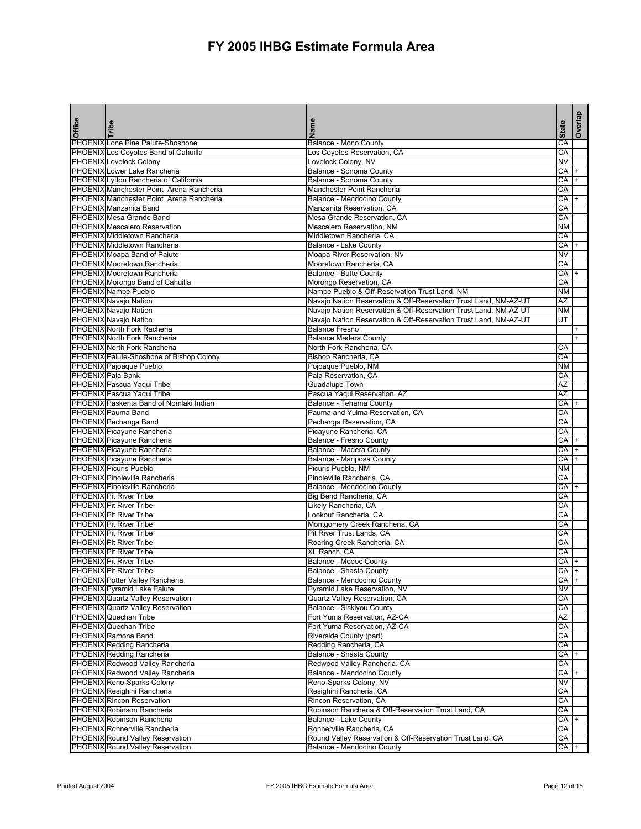| PHOENIX Lone Pine Paiute-Shoshone<br>PHOENIX Los Coyotes Band of Cahuilla<br>Los Coyotes Reservation, CA<br>CA<br>Lovelock Colony, NV<br>PHOENIX Lovelock Colony<br><b>NV</b><br>PHOENIX Lower Lake Rancheria<br>Balance - Sonoma County<br>СA<br>$+$<br>PHOENIX Lytton Rancheria of California<br>Balance - Sonoma County<br>CA<br>PHOENIX Manchester Point Arena Rancheria<br>Manchester Point Rancheria<br>CA<br>PHOENIX Manchester Point Arena Rancheria<br>CA +<br>Balance - Mendocino County<br>PHOENIX Manzanita Band<br>Manzanita Reservation, CA<br>CA<br>PHOENIX Mesa Grande Band<br>Mesa Grande Reservation, CA<br>CA<br><b>PHOENIX Mescalero Reservation</b><br>Mescalero Reservation, NM<br><b>NM</b><br>PHOENIX Middletown Rancheria<br>Middletown Rancheria, CA<br>CA<br>PHOENIX Middletown Rancheria<br><b>Balance - Lake County</b><br>CA<br>PHOENIX Moapa Band of Paiute<br>Moapa River Reservation, NV<br>NV<br><b>PHOENIX</b> Mooretown Rancheria<br>Mooretown Rancheria, CA<br>CA<br>PHOENIX Mooretown Rancheria<br><b>Balance - Butte County</b><br>CA<br>$+$<br>PHOENIX Morongo Band of Cahuilla<br>Morongo Reservation, CA<br>CA<br>PHOENIX Nambe Pueblo<br>Nambe Pueblo & Off-Reservation Trust Land, NM<br><b>NM</b><br>PHOENIX Navajo Nation<br>Navajo Nation Reservation & Off-Reservation Trust Land, NM-AZ-UT<br>AZ<br>PHOENIX Navajo Nation<br>Navajo Nation Reservation & Off-Reservation Trust Land, NM-AZ-UT<br><b>NM</b><br>PHOENIX Navajo Nation<br>Navajo Nation Reservation & Off-Reservation Trust Land, NM-AZ-UT<br>UT<br>PHOENIX North Fork Racheria<br><b>Balance Fresno</b><br>$\ddot{}$<br>PHOENIX North Fork Rancheria<br><b>Balance Madera County</b><br>Ŧ<br>North Fork Rancheria, CA<br>PHOENIX North Fork Rancheria<br>СA<br>PHOENIX Paiute-Shoshone of Bishop Colony<br>Bishop Rancheria, CA<br>CA<br>PHOENIX Pajoaque Pueblo<br>Pojoaque Pueblo, NM<br><b>NM</b><br>PHOENIX Pala Bank<br>Pala Reservation, CA<br>СA<br>PHOENIX Pascua Yaqui Tribe<br><b>Guadalupe Town</b><br>ΑZ<br>Pascua Yaqui Reservation, AZ<br>PHOENIX Pascua Yaqui Tribe<br>AZ<br>PHOENIX Paskenta Band of Nomlaki Indian<br>Balance - Tehama County<br>СA<br>$\ddot{}$<br>PHOENIX Pauma Band<br>Pauma and Yuima Reservation, CA<br>CA<br>PHOENIX Pechanga Band<br>Pechanga Reservation, CA<br>CA<br>PHOENIX Picayune Rancheria<br>Picayune Rancheria, CA<br>CA<br>PHOENIX Picayune Rancheria<br>Balance - Fresno County<br>CA +<br>PHOENIX Picayune Rancheria<br>CA<br>Balance - Madera County<br>PHOENIX Picayune Rancheria<br>Balance - Mariposa County<br>CA<br><b>PHOENIX Picuris Pueblo</b><br>Picuris Pueblo, NM<br><b>NM</b><br><b>PHOENIX Pinoleville Rancheria</b><br>Pinoleville Rancheria, CA<br>CA<br><b>PHOENIX Pinoleville Rancheria</b><br>Balance - Mendocino County<br>CA +<br><b>PHOENIX Pit River Tribe</b><br>Big Bend Rancheria, CA<br>CA<br><b>PHOENIX</b> Pit River Tribe<br>Likely Rancheria, CA<br>CA<br>Lookout Rancheria, CA<br><b>PHOENIX Pit River Tribe</b><br>СA<br><b>PHOENIX Pit River Tribe</b><br>Montgomery Creek Rancheria, CA<br>CA<br><b>PHOENIX</b> Pit River Tribe<br>Pit River Trust Lands, CA<br>CA<br><b>PHOENIX</b> Pit River Tribe<br>Roaring Creek Rancheria, CA<br>CA<br><b>PHOENIX Pit River Tribe</b><br>XL Ranch, CA<br>СA<br><b>PHOENIX Pit River Tribe</b><br>Balance - Modoc County<br>СA<br><b>PHOENIX</b> Pit River Tribe<br>CA<br>Balance - Shasta County<br>$+$<br>PHOENIX Potter Valley Rancheria<br>Balance - Mendocino County<br>CA<br>$\ddot{}$<br><b>PHOENIX</b> Pyramid Lake Paiute<br>Pyramid Lake Reservation, NV<br>NV<br>PHOENIX Quartz Valley Reservation<br>Quartz Valley Reservation, CA<br>СA<br><b>PHOENIX Quartz Valley Reservation</b><br><b>Balance - Siskiyou County</b><br>CA<br>PHOENIX Quechan Tribe<br>Fort Yuma Reservation, AZ-CA<br>ΑZ<br>PHOENIX Quechan Tribe<br>Fort Yuma Reservation, AZ-CA<br>CA<br>PHOENIX Ramona Band<br>Riverside County (part)<br>CA<br><b>PHOENIX Redding Rancheria</b><br>Redding Rancheria, CA<br>CA<br>PHOENIX Redding Rancheria<br><b>Balance - Shasta County</b><br>CA<br>$+$<br>PHOENIX Redwood Valley Rancheria<br>Redwood Valley Rancheria, CA<br>CA<br>PHOENIX Redwood Valley Rancheria<br>Balance - Mendocino County<br>CA<br>PHOENIX Reno-Sparks Colony<br>NV<br>Reno-Sparks Colony, NV<br>PHOENIX Resighini Rancheria<br>Resighini Rancheria, CA<br>CA<br>PHOENIX Rincon Reservation<br>Rincon Reservation, CA<br>CA<br>PHOENIX Robinson Rancheria<br>Robinson Rancheria & Off-Reservation Trust Land, CA<br>CA<br><b>PHOENIX Robinson Rancheria</b><br><b>Balance - Lake County</b><br>CA +<br>PHOENIX Rohnerville Rancheria<br>Rohnerville Rancheria, CA<br>CA<br>PHOENIX Round Valley Reservation<br>Round Valley Reservation & Off-Reservation Trust Land, CA<br>CA | Office | Tribe                                   | Name                       | <b>State</b> | deµa^O |
|-----------------------------------------------------------------------------------------------------------------------------------------------------------------------------------------------------------------------------------------------------------------------------------------------------------------------------------------------------------------------------------------------------------------------------------------------------------------------------------------------------------------------------------------------------------------------------------------------------------------------------------------------------------------------------------------------------------------------------------------------------------------------------------------------------------------------------------------------------------------------------------------------------------------------------------------------------------------------------------------------------------------------------------------------------------------------------------------------------------------------------------------------------------------------------------------------------------------------------------------------------------------------------------------------------------------------------------------------------------------------------------------------------------------------------------------------------------------------------------------------------------------------------------------------------------------------------------------------------------------------------------------------------------------------------------------------------------------------------------------------------------------------------------------------------------------------------------------------------------------------------------------------------------------------------------------------------------------------------------------------------------------------------------------------------------------------------------------------------------------------------------------------------------------------------------------------------------------------------------------------------------------------------------------------------------------------------------------------------------------------------------------------------------------------------------------------------------------------------------------------------------------------------------------------------------------------------------------------------------------------------------------------------------------------------------------------------------------------------------------------------------------------------------------------------------------------------------------------------------------------------------------------------------------------------------------------------------------------------------------------------------------------------------------------------------------------------------------------------------------------------------------------------------------------------------------------------------------------------------------------------------------------------------------------------------------------------------------------------------------------------------------------------------------------------------------------------------------------------------------------------------------------------------------------------------------------------------------------------------------------------------------------------------------------------------------------------------------------------------------------------------------------------------------------------------------------------------------------------------------------------------------------------------------------------------------------------------------------------------------------------------------------------------------------------------------------------------------------------------------------------------------------------------------------------------------------------------------------------------------------------------------------------------------------------------------------------------------------------------------------------------------------------------------------------------------------------------------------------------------------------------------------------------------------------------------------------------------------------------------------------------------------------------------------------------------------------------------------------------------------------------------------------------------------------------------------------|--------|-----------------------------------------|----------------------------|--------------|--------|
|                                                                                                                                                                                                                                                                                                                                                                                                                                                                                                                                                                                                                                                                                                                                                                                                                                                                                                                                                                                                                                                                                                                                                                                                                                                                                                                                                                                                                                                                                                                                                                                                                                                                                                                                                                                                                                                                                                                                                                                                                                                                                                                                                                                                                                                                                                                                                                                                                                                                                                                                                                                                                                                                                                                                                                                                                                                                                                                                                                                                                                                                                                                                                                                                                                                                                                                                                                                                                                                                                                                                                                                                                                                                                                                                                                                                                                                                                                                                                                                                                                                                                                                                                                                                                                                                                                                                                                                                                                                                                                                                                                                                                                                                                                                                                                                                                             |        |                                         | Balance - Mono County      | CA           |        |
|                                                                                                                                                                                                                                                                                                                                                                                                                                                                                                                                                                                                                                                                                                                                                                                                                                                                                                                                                                                                                                                                                                                                                                                                                                                                                                                                                                                                                                                                                                                                                                                                                                                                                                                                                                                                                                                                                                                                                                                                                                                                                                                                                                                                                                                                                                                                                                                                                                                                                                                                                                                                                                                                                                                                                                                                                                                                                                                                                                                                                                                                                                                                                                                                                                                                                                                                                                                                                                                                                                                                                                                                                                                                                                                                                                                                                                                                                                                                                                                                                                                                                                                                                                                                                                                                                                                                                                                                                                                                                                                                                                                                                                                                                                                                                                                                                             |        |                                         |                            |              |        |
|                                                                                                                                                                                                                                                                                                                                                                                                                                                                                                                                                                                                                                                                                                                                                                                                                                                                                                                                                                                                                                                                                                                                                                                                                                                                                                                                                                                                                                                                                                                                                                                                                                                                                                                                                                                                                                                                                                                                                                                                                                                                                                                                                                                                                                                                                                                                                                                                                                                                                                                                                                                                                                                                                                                                                                                                                                                                                                                                                                                                                                                                                                                                                                                                                                                                                                                                                                                                                                                                                                                                                                                                                                                                                                                                                                                                                                                                                                                                                                                                                                                                                                                                                                                                                                                                                                                                                                                                                                                                                                                                                                                                                                                                                                                                                                                                                             |        |                                         |                            |              |        |
|                                                                                                                                                                                                                                                                                                                                                                                                                                                                                                                                                                                                                                                                                                                                                                                                                                                                                                                                                                                                                                                                                                                                                                                                                                                                                                                                                                                                                                                                                                                                                                                                                                                                                                                                                                                                                                                                                                                                                                                                                                                                                                                                                                                                                                                                                                                                                                                                                                                                                                                                                                                                                                                                                                                                                                                                                                                                                                                                                                                                                                                                                                                                                                                                                                                                                                                                                                                                                                                                                                                                                                                                                                                                                                                                                                                                                                                                                                                                                                                                                                                                                                                                                                                                                                                                                                                                                                                                                                                                                                                                                                                                                                                                                                                                                                                                                             |        |                                         |                            |              |        |
|                                                                                                                                                                                                                                                                                                                                                                                                                                                                                                                                                                                                                                                                                                                                                                                                                                                                                                                                                                                                                                                                                                                                                                                                                                                                                                                                                                                                                                                                                                                                                                                                                                                                                                                                                                                                                                                                                                                                                                                                                                                                                                                                                                                                                                                                                                                                                                                                                                                                                                                                                                                                                                                                                                                                                                                                                                                                                                                                                                                                                                                                                                                                                                                                                                                                                                                                                                                                                                                                                                                                                                                                                                                                                                                                                                                                                                                                                                                                                                                                                                                                                                                                                                                                                                                                                                                                                                                                                                                                                                                                                                                                                                                                                                                                                                                                                             |        |                                         |                            |              |        |
|                                                                                                                                                                                                                                                                                                                                                                                                                                                                                                                                                                                                                                                                                                                                                                                                                                                                                                                                                                                                                                                                                                                                                                                                                                                                                                                                                                                                                                                                                                                                                                                                                                                                                                                                                                                                                                                                                                                                                                                                                                                                                                                                                                                                                                                                                                                                                                                                                                                                                                                                                                                                                                                                                                                                                                                                                                                                                                                                                                                                                                                                                                                                                                                                                                                                                                                                                                                                                                                                                                                                                                                                                                                                                                                                                                                                                                                                                                                                                                                                                                                                                                                                                                                                                                                                                                                                                                                                                                                                                                                                                                                                                                                                                                                                                                                                                             |        |                                         |                            |              |        |
|                                                                                                                                                                                                                                                                                                                                                                                                                                                                                                                                                                                                                                                                                                                                                                                                                                                                                                                                                                                                                                                                                                                                                                                                                                                                                                                                                                                                                                                                                                                                                                                                                                                                                                                                                                                                                                                                                                                                                                                                                                                                                                                                                                                                                                                                                                                                                                                                                                                                                                                                                                                                                                                                                                                                                                                                                                                                                                                                                                                                                                                                                                                                                                                                                                                                                                                                                                                                                                                                                                                                                                                                                                                                                                                                                                                                                                                                                                                                                                                                                                                                                                                                                                                                                                                                                                                                                                                                                                                                                                                                                                                                                                                                                                                                                                                                                             |        |                                         |                            |              |        |
|                                                                                                                                                                                                                                                                                                                                                                                                                                                                                                                                                                                                                                                                                                                                                                                                                                                                                                                                                                                                                                                                                                                                                                                                                                                                                                                                                                                                                                                                                                                                                                                                                                                                                                                                                                                                                                                                                                                                                                                                                                                                                                                                                                                                                                                                                                                                                                                                                                                                                                                                                                                                                                                                                                                                                                                                                                                                                                                                                                                                                                                                                                                                                                                                                                                                                                                                                                                                                                                                                                                                                                                                                                                                                                                                                                                                                                                                                                                                                                                                                                                                                                                                                                                                                                                                                                                                                                                                                                                                                                                                                                                                                                                                                                                                                                                                                             |        |                                         |                            |              |        |
|                                                                                                                                                                                                                                                                                                                                                                                                                                                                                                                                                                                                                                                                                                                                                                                                                                                                                                                                                                                                                                                                                                                                                                                                                                                                                                                                                                                                                                                                                                                                                                                                                                                                                                                                                                                                                                                                                                                                                                                                                                                                                                                                                                                                                                                                                                                                                                                                                                                                                                                                                                                                                                                                                                                                                                                                                                                                                                                                                                                                                                                                                                                                                                                                                                                                                                                                                                                                                                                                                                                                                                                                                                                                                                                                                                                                                                                                                                                                                                                                                                                                                                                                                                                                                                                                                                                                                                                                                                                                                                                                                                                                                                                                                                                                                                                                                             |        |                                         |                            |              |        |
|                                                                                                                                                                                                                                                                                                                                                                                                                                                                                                                                                                                                                                                                                                                                                                                                                                                                                                                                                                                                                                                                                                                                                                                                                                                                                                                                                                                                                                                                                                                                                                                                                                                                                                                                                                                                                                                                                                                                                                                                                                                                                                                                                                                                                                                                                                                                                                                                                                                                                                                                                                                                                                                                                                                                                                                                                                                                                                                                                                                                                                                                                                                                                                                                                                                                                                                                                                                                                                                                                                                                                                                                                                                                                                                                                                                                                                                                                                                                                                                                                                                                                                                                                                                                                                                                                                                                                                                                                                                                                                                                                                                                                                                                                                                                                                                                                             |        |                                         |                            |              |        |
|                                                                                                                                                                                                                                                                                                                                                                                                                                                                                                                                                                                                                                                                                                                                                                                                                                                                                                                                                                                                                                                                                                                                                                                                                                                                                                                                                                                                                                                                                                                                                                                                                                                                                                                                                                                                                                                                                                                                                                                                                                                                                                                                                                                                                                                                                                                                                                                                                                                                                                                                                                                                                                                                                                                                                                                                                                                                                                                                                                                                                                                                                                                                                                                                                                                                                                                                                                                                                                                                                                                                                                                                                                                                                                                                                                                                                                                                                                                                                                                                                                                                                                                                                                                                                                                                                                                                                                                                                                                                                                                                                                                                                                                                                                                                                                                                                             |        |                                         |                            |              |        |
|                                                                                                                                                                                                                                                                                                                                                                                                                                                                                                                                                                                                                                                                                                                                                                                                                                                                                                                                                                                                                                                                                                                                                                                                                                                                                                                                                                                                                                                                                                                                                                                                                                                                                                                                                                                                                                                                                                                                                                                                                                                                                                                                                                                                                                                                                                                                                                                                                                                                                                                                                                                                                                                                                                                                                                                                                                                                                                                                                                                                                                                                                                                                                                                                                                                                                                                                                                                                                                                                                                                                                                                                                                                                                                                                                                                                                                                                                                                                                                                                                                                                                                                                                                                                                                                                                                                                                                                                                                                                                                                                                                                                                                                                                                                                                                                                                             |        |                                         |                            |              |        |
|                                                                                                                                                                                                                                                                                                                                                                                                                                                                                                                                                                                                                                                                                                                                                                                                                                                                                                                                                                                                                                                                                                                                                                                                                                                                                                                                                                                                                                                                                                                                                                                                                                                                                                                                                                                                                                                                                                                                                                                                                                                                                                                                                                                                                                                                                                                                                                                                                                                                                                                                                                                                                                                                                                                                                                                                                                                                                                                                                                                                                                                                                                                                                                                                                                                                                                                                                                                                                                                                                                                                                                                                                                                                                                                                                                                                                                                                                                                                                                                                                                                                                                                                                                                                                                                                                                                                                                                                                                                                                                                                                                                                                                                                                                                                                                                                                             |        |                                         |                            |              |        |
|                                                                                                                                                                                                                                                                                                                                                                                                                                                                                                                                                                                                                                                                                                                                                                                                                                                                                                                                                                                                                                                                                                                                                                                                                                                                                                                                                                                                                                                                                                                                                                                                                                                                                                                                                                                                                                                                                                                                                                                                                                                                                                                                                                                                                                                                                                                                                                                                                                                                                                                                                                                                                                                                                                                                                                                                                                                                                                                                                                                                                                                                                                                                                                                                                                                                                                                                                                                                                                                                                                                                                                                                                                                                                                                                                                                                                                                                                                                                                                                                                                                                                                                                                                                                                                                                                                                                                                                                                                                                                                                                                                                                                                                                                                                                                                                                                             |        |                                         |                            |              |        |
|                                                                                                                                                                                                                                                                                                                                                                                                                                                                                                                                                                                                                                                                                                                                                                                                                                                                                                                                                                                                                                                                                                                                                                                                                                                                                                                                                                                                                                                                                                                                                                                                                                                                                                                                                                                                                                                                                                                                                                                                                                                                                                                                                                                                                                                                                                                                                                                                                                                                                                                                                                                                                                                                                                                                                                                                                                                                                                                                                                                                                                                                                                                                                                                                                                                                                                                                                                                                                                                                                                                                                                                                                                                                                                                                                                                                                                                                                                                                                                                                                                                                                                                                                                                                                                                                                                                                                                                                                                                                                                                                                                                                                                                                                                                                                                                                                             |        |                                         |                            |              |        |
|                                                                                                                                                                                                                                                                                                                                                                                                                                                                                                                                                                                                                                                                                                                                                                                                                                                                                                                                                                                                                                                                                                                                                                                                                                                                                                                                                                                                                                                                                                                                                                                                                                                                                                                                                                                                                                                                                                                                                                                                                                                                                                                                                                                                                                                                                                                                                                                                                                                                                                                                                                                                                                                                                                                                                                                                                                                                                                                                                                                                                                                                                                                                                                                                                                                                                                                                                                                                                                                                                                                                                                                                                                                                                                                                                                                                                                                                                                                                                                                                                                                                                                                                                                                                                                                                                                                                                                                                                                                                                                                                                                                                                                                                                                                                                                                                                             |        |                                         |                            |              |        |
|                                                                                                                                                                                                                                                                                                                                                                                                                                                                                                                                                                                                                                                                                                                                                                                                                                                                                                                                                                                                                                                                                                                                                                                                                                                                                                                                                                                                                                                                                                                                                                                                                                                                                                                                                                                                                                                                                                                                                                                                                                                                                                                                                                                                                                                                                                                                                                                                                                                                                                                                                                                                                                                                                                                                                                                                                                                                                                                                                                                                                                                                                                                                                                                                                                                                                                                                                                                                                                                                                                                                                                                                                                                                                                                                                                                                                                                                                                                                                                                                                                                                                                                                                                                                                                                                                                                                                                                                                                                                                                                                                                                                                                                                                                                                                                                                                             |        |                                         |                            |              |        |
|                                                                                                                                                                                                                                                                                                                                                                                                                                                                                                                                                                                                                                                                                                                                                                                                                                                                                                                                                                                                                                                                                                                                                                                                                                                                                                                                                                                                                                                                                                                                                                                                                                                                                                                                                                                                                                                                                                                                                                                                                                                                                                                                                                                                                                                                                                                                                                                                                                                                                                                                                                                                                                                                                                                                                                                                                                                                                                                                                                                                                                                                                                                                                                                                                                                                                                                                                                                                                                                                                                                                                                                                                                                                                                                                                                                                                                                                                                                                                                                                                                                                                                                                                                                                                                                                                                                                                                                                                                                                                                                                                                                                                                                                                                                                                                                                                             |        |                                         |                            |              |        |
|                                                                                                                                                                                                                                                                                                                                                                                                                                                                                                                                                                                                                                                                                                                                                                                                                                                                                                                                                                                                                                                                                                                                                                                                                                                                                                                                                                                                                                                                                                                                                                                                                                                                                                                                                                                                                                                                                                                                                                                                                                                                                                                                                                                                                                                                                                                                                                                                                                                                                                                                                                                                                                                                                                                                                                                                                                                                                                                                                                                                                                                                                                                                                                                                                                                                                                                                                                                                                                                                                                                                                                                                                                                                                                                                                                                                                                                                                                                                                                                                                                                                                                                                                                                                                                                                                                                                                                                                                                                                                                                                                                                                                                                                                                                                                                                                                             |        |                                         |                            |              |        |
|                                                                                                                                                                                                                                                                                                                                                                                                                                                                                                                                                                                                                                                                                                                                                                                                                                                                                                                                                                                                                                                                                                                                                                                                                                                                                                                                                                                                                                                                                                                                                                                                                                                                                                                                                                                                                                                                                                                                                                                                                                                                                                                                                                                                                                                                                                                                                                                                                                                                                                                                                                                                                                                                                                                                                                                                                                                                                                                                                                                                                                                                                                                                                                                                                                                                                                                                                                                                                                                                                                                                                                                                                                                                                                                                                                                                                                                                                                                                                                                                                                                                                                                                                                                                                                                                                                                                                                                                                                                                                                                                                                                                                                                                                                                                                                                                                             |        |                                         |                            |              |        |
|                                                                                                                                                                                                                                                                                                                                                                                                                                                                                                                                                                                                                                                                                                                                                                                                                                                                                                                                                                                                                                                                                                                                                                                                                                                                                                                                                                                                                                                                                                                                                                                                                                                                                                                                                                                                                                                                                                                                                                                                                                                                                                                                                                                                                                                                                                                                                                                                                                                                                                                                                                                                                                                                                                                                                                                                                                                                                                                                                                                                                                                                                                                                                                                                                                                                                                                                                                                                                                                                                                                                                                                                                                                                                                                                                                                                                                                                                                                                                                                                                                                                                                                                                                                                                                                                                                                                                                                                                                                                                                                                                                                                                                                                                                                                                                                                                             |        |                                         |                            |              |        |
|                                                                                                                                                                                                                                                                                                                                                                                                                                                                                                                                                                                                                                                                                                                                                                                                                                                                                                                                                                                                                                                                                                                                                                                                                                                                                                                                                                                                                                                                                                                                                                                                                                                                                                                                                                                                                                                                                                                                                                                                                                                                                                                                                                                                                                                                                                                                                                                                                                                                                                                                                                                                                                                                                                                                                                                                                                                                                                                                                                                                                                                                                                                                                                                                                                                                                                                                                                                                                                                                                                                                                                                                                                                                                                                                                                                                                                                                                                                                                                                                                                                                                                                                                                                                                                                                                                                                                                                                                                                                                                                                                                                                                                                                                                                                                                                                                             |        |                                         |                            |              |        |
|                                                                                                                                                                                                                                                                                                                                                                                                                                                                                                                                                                                                                                                                                                                                                                                                                                                                                                                                                                                                                                                                                                                                                                                                                                                                                                                                                                                                                                                                                                                                                                                                                                                                                                                                                                                                                                                                                                                                                                                                                                                                                                                                                                                                                                                                                                                                                                                                                                                                                                                                                                                                                                                                                                                                                                                                                                                                                                                                                                                                                                                                                                                                                                                                                                                                                                                                                                                                                                                                                                                                                                                                                                                                                                                                                                                                                                                                                                                                                                                                                                                                                                                                                                                                                                                                                                                                                                                                                                                                                                                                                                                                                                                                                                                                                                                                                             |        |                                         |                            |              |        |
|                                                                                                                                                                                                                                                                                                                                                                                                                                                                                                                                                                                                                                                                                                                                                                                                                                                                                                                                                                                                                                                                                                                                                                                                                                                                                                                                                                                                                                                                                                                                                                                                                                                                                                                                                                                                                                                                                                                                                                                                                                                                                                                                                                                                                                                                                                                                                                                                                                                                                                                                                                                                                                                                                                                                                                                                                                                                                                                                                                                                                                                                                                                                                                                                                                                                                                                                                                                                                                                                                                                                                                                                                                                                                                                                                                                                                                                                                                                                                                                                                                                                                                                                                                                                                                                                                                                                                                                                                                                                                                                                                                                                                                                                                                                                                                                                                             |        |                                         |                            |              |        |
|                                                                                                                                                                                                                                                                                                                                                                                                                                                                                                                                                                                                                                                                                                                                                                                                                                                                                                                                                                                                                                                                                                                                                                                                                                                                                                                                                                                                                                                                                                                                                                                                                                                                                                                                                                                                                                                                                                                                                                                                                                                                                                                                                                                                                                                                                                                                                                                                                                                                                                                                                                                                                                                                                                                                                                                                                                                                                                                                                                                                                                                                                                                                                                                                                                                                                                                                                                                                                                                                                                                                                                                                                                                                                                                                                                                                                                                                                                                                                                                                                                                                                                                                                                                                                                                                                                                                                                                                                                                                                                                                                                                                                                                                                                                                                                                                                             |        |                                         |                            |              |        |
|                                                                                                                                                                                                                                                                                                                                                                                                                                                                                                                                                                                                                                                                                                                                                                                                                                                                                                                                                                                                                                                                                                                                                                                                                                                                                                                                                                                                                                                                                                                                                                                                                                                                                                                                                                                                                                                                                                                                                                                                                                                                                                                                                                                                                                                                                                                                                                                                                                                                                                                                                                                                                                                                                                                                                                                                                                                                                                                                                                                                                                                                                                                                                                                                                                                                                                                                                                                                                                                                                                                                                                                                                                                                                                                                                                                                                                                                                                                                                                                                                                                                                                                                                                                                                                                                                                                                                                                                                                                                                                                                                                                                                                                                                                                                                                                                                             |        |                                         |                            |              |        |
|                                                                                                                                                                                                                                                                                                                                                                                                                                                                                                                                                                                                                                                                                                                                                                                                                                                                                                                                                                                                                                                                                                                                                                                                                                                                                                                                                                                                                                                                                                                                                                                                                                                                                                                                                                                                                                                                                                                                                                                                                                                                                                                                                                                                                                                                                                                                                                                                                                                                                                                                                                                                                                                                                                                                                                                                                                                                                                                                                                                                                                                                                                                                                                                                                                                                                                                                                                                                                                                                                                                                                                                                                                                                                                                                                                                                                                                                                                                                                                                                                                                                                                                                                                                                                                                                                                                                                                                                                                                                                                                                                                                                                                                                                                                                                                                                                             |        |                                         |                            |              |        |
|                                                                                                                                                                                                                                                                                                                                                                                                                                                                                                                                                                                                                                                                                                                                                                                                                                                                                                                                                                                                                                                                                                                                                                                                                                                                                                                                                                                                                                                                                                                                                                                                                                                                                                                                                                                                                                                                                                                                                                                                                                                                                                                                                                                                                                                                                                                                                                                                                                                                                                                                                                                                                                                                                                                                                                                                                                                                                                                                                                                                                                                                                                                                                                                                                                                                                                                                                                                                                                                                                                                                                                                                                                                                                                                                                                                                                                                                                                                                                                                                                                                                                                                                                                                                                                                                                                                                                                                                                                                                                                                                                                                                                                                                                                                                                                                                                             |        |                                         |                            |              |        |
|                                                                                                                                                                                                                                                                                                                                                                                                                                                                                                                                                                                                                                                                                                                                                                                                                                                                                                                                                                                                                                                                                                                                                                                                                                                                                                                                                                                                                                                                                                                                                                                                                                                                                                                                                                                                                                                                                                                                                                                                                                                                                                                                                                                                                                                                                                                                                                                                                                                                                                                                                                                                                                                                                                                                                                                                                                                                                                                                                                                                                                                                                                                                                                                                                                                                                                                                                                                                                                                                                                                                                                                                                                                                                                                                                                                                                                                                                                                                                                                                                                                                                                                                                                                                                                                                                                                                                                                                                                                                                                                                                                                                                                                                                                                                                                                                                             |        |                                         |                            |              |        |
|                                                                                                                                                                                                                                                                                                                                                                                                                                                                                                                                                                                                                                                                                                                                                                                                                                                                                                                                                                                                                                                                                                                                                                                                                                                                                                                                                                                                                                                                                                                                                                                                                                                                                                                                                                                                                                                                                                                                                                                                                                                                                                                                                                                                                                                                                                                                                                                                                                                                                                                                                                                                                                                                                                                                                                                                                                                                                                                                                                                                                                                                                                                                                                                                                                                                                                                                                                                                                                                                                                                                                                                                                                                                                                                                                                                                                                                                                                                                                                                                                                                                                                                                                                                                                                                                                                                                                                                                                                                                                                                                                                                                                                                                                                                                                                                                                             |        |                                         |                            |              |        |
|                                                                                                                                                                                                                                                                                                                                                                                                                                                                                                                                                                                                                                                                                                                                                                                                                                                                                                                                                                                                                                                                                                                                                                                                                                                                                                                                                                                                                                                                                                                                                                                                                                                                                                                                                                                                                                                                                                                                                                                                                                                                                                                                                                                                                                                                                                                                                                                                                                                                                                                                                                                                                                                                                                                                                                                                                                                                                                                                                                                                                                                                                                                                                                                                                                                                                                                                                                                                                                                                                                                                                                                                                                                                                                                                                                                                                                                                                                                                                                                                                                                                                                                                                                                                                                                                                                                                                                                                                                                                                                                                                                                                                                                                                                                                                                                                                             |        |                                         |                            |              |        |
|                                                                                                                                                                                                                                                                                                                                                                                                                                                                                                                                                                                                                                                                                                                                                                                                                                                                                                                                                                                                                                                                                                                                                                                                                                                                                                                                                                                                                                                                                                                                                                                                                                                                                                                                                                                                                                                                                                                                                                                                                                                                                                                                                                                                                                                                                                                                                                                                                                                                                                                                                                                                                                                                                                                                                                                                                                                                                                                                                                                                                                                                                                                                                                                                                                                                                                                                                                                                                                                                                                                                                                                                                                                                                                                                                                                                                                                                                                                                                                                                                                                                                                                                                                                                                                                                                                                                                                                                                                                                                                                                                                                                                                                                                                                                                                                                                             |        |                                         |                            |              |        |
|                                                                                                                                                                                                                                                                                                                                                                                                                                                                                                                                                                                                                                                                                                                                                                                                                                                                                                                                                                                                                                                                                                                                                                                                                                                                                                                                                                                                                                                                                                                                                                                                                                                                                                                                                                                                                                                                                                                                                                                                                                                                                                                                                                                                                                                                                                                                                                                                                                                                                                                                                                                                                                                                                                                                                                                                                                                                                                                                                                                                                                                                                                                                                                                                                                                                                                                                                                                                                                                                                                                                                                                                                                                                                                                                                                                                                                                                                                                                                                                                                                                                                                                                                                                                                                                                                                                                                                                                                                                                                                                                                                                                                                                                                                                                                                                                                             |        |                                         |                            |              |        |
|                                                                                                                                                                                                                                                                                                                                                                                                                                                                                                                                                                                                                                                                                                                                                                                                                                                                                                                                                                                                                                                                                                                                                                                                                                                                                                                                                                                                                                                                                                                                                                                                                                                                                                                                                                                                                                                                                                                                                                                                                                                                                                                                                                                                                                                                                                                                                                                                                                                                                                                                                                                                                                                                                                                                                                                                                                                                                                                                                                                                                                                                                                                                                                                                                                                                                                                                                                                                                                                                                                                                                                                                                                                                                                                                                                                                                                                                                                                                                                                                                                                                                                                                                                                                                                                                                                                                                                                                                                                                                                                                                                                                                                                                                                                                                                                                                             |        |                                         |                            |              |        |
|                                                                                                                                                                                                                                                                                                                                                                                                                                                                                                                                                                                                                                                                                                                                                                                                                                                                                                                                                                                                                                                                                                                                                                                                                                                                                                                                                                                                                                                                                                                                                                                                                                                                                                                                                                                                                                                                                                                                                                                                                                                                                                                                                                                                                                                                                                                                                                                                                                                                                                                                                                                                                                                                                                                                                                                                                                                                                                                                                                                                                                                                                                                                                                                                                                                                                                                                                                                                                                                                                                                                                                                                                                                                                                                                                                                                                                                                                                                                                                                                                                                                                                                                                                                                                                                                                                                                                                                                                                                                                                                                                                                                                                                                                                                                                                                                                             |        |                                         |                            |              |        |
|                                                                                                                                                                                                                                                                                                                                                                                                                                                                                                                                                                                                                                                                                                                                                                                                                                                                                                                                                                                                                                                                                                                                                                                                                                                                                                                                                                                                                                                                                                                                                                                                                                                                                                                                                                                                                                                                                                                                                                                                                                                                                                                                                                                                                                                                                                                                                                                                                                                                                                                                                                                                                                                                                                                                                                                                                                                                                                                                                                                                                                                                                                                                                                                                                                                                                                                                                                                                                                                                                                                                                                                                                                                                                                                                                                                                                                                                                                                                                                                                                                                                                                                                                                                                                                                                                                                                                                                                                                                                                                                                                                                                                                                                                                                                                                                                                             |        |                                         |                            |              |        |
|                                                                                                                                                                                                                                                                                                                                                                                                                                                                                                                                                                                                                                                                                                                                                                                                                                                                                                                                                                                                                                                                                                                                                                                                                                                                                                                                                                                                                                                                                                                                                                                                                                                                                                                                                                                                                                                                                                                                                                                                                                                                                                                                                                                                                                                                                                                                                                                                                                                                                                                                                                                                                                                                                                                                                                                                                                                                                                                                                                                                                                                                                                                                                                                                                                                                                                                                                                                                                                                                                                                                                                                                                                                                                                                                                                                                                                                                                                                                                                                                                                                                                                                                                                                                                                                                                                                                                                                                                                                                                                                                                                                                                                                                                                                                                                                                                             |        |                                         |                            |              |        |
|                                                                                                                                                                                                                                                                                                                                                                                                                                                                                                                                                                                                                                                                                                                                                                                                                                                                                                                                                                                                                                                                                                                                                                                                                                                                                                                                                                                                                                                                                                                                                                                                                                                                                                                                                                                                                                                                                                                                                                                                                                                                                                                                                                                                                                                                                                                                                                                                                                                                                                                                                                                                                                                                                                                                                                                                                                                                                                                                                                                                                                                                                                                                                                                                                                                                                                                                                                                                                                                                                                                                                                                                                                                                                                                                                                                                                                                                                                                                                                                                                                                                                                                                                                                                                                                                                                                                                                                                                                                                                                                                                                                                                                                                                                                                                                                                                             |        |                                         |                            |              |        |
|                                                                                                                                                                                                                                                                                                                                                                                                                                                                                                                                                                                                                                                                                                                                                                                                                                                                                                                                                                                                                                                                                                                                                                                                                                                                                                                                                                                                                                                                                                                                                                                                                                                                                                                                                                                                                                                                                                                                                                                                                                                                                                                                                                                                                                                                                                                                                                                                                                                                                                                                                                                                                                                                                                                                                                                                                                                                                                                                                                                                                                                                                                                                                                                                                                                                                                                                                                                                                                                                                                                                                                                                                                                                                                                                                                                                                                                                                                                                                                                                                                                                                                                                                                                                                                                                                                                                                                                                                                                                                                                                                                                                                                                                                                                                                                                                                             |        |                                         |                            |              |        |
|                                                                                                                                                                                                                                                                                                                                                                                                                                                                                                                                                                                                                                                                                                                                                                                                                                                                                                                                                                                                                                                                                                                                                                                                                                                                                                                                                                                                                                                                                                                                                                                                                                                                                                                                                                                                                                                                                                                                                                                                                                                                                                                                                                                                                                                                                                                                                                                                                                                                                                                                                                                                                                                                                                                                                                                                                                                                                                                                                                                                                                                                                                                                                                                                                                                                                                                                                                                                                                                                                                                                                                                                                                                                                                                                                                                                                                                                                                                                                                                                                                                                                                                                                                                                                                                                                                                                                                                                                                                                                                                                                                                                                                                                                                                                                                                                                             |        |                                         |                            |              |        |
|                                                                                                                                                                                                                                                                                                                                                                                                                                                                                                                                                                                                                                                                                                                                                                                                                                                                                                                                                                                                                                                                                                                                                                                                                                                                                                                                                                                                                                                                                                                                                                                                                                                                                                                                                                                                                                                                                                                                                                                                                                                                                                                                                                                                                                                                                                                                                                                                                                                                                                                                                                                                                                                                                                                                                                                                                                                                                                                                                                                                                                                                                                                                                                                                                                                                                                                                                                                                                                                                                                                                                                                                                                                                                                                                                                                                                                                                                                                                                                                                                                                                                                                                                                                                                                                                                                                                                                                                                                                                                                                                                                                                                                                                                                                                                                                                                             |        |                                         |                            |              |        |
|                                                                                                                                                                                                                                                                                                                                                                                                                                                                                                                                                                                                                                                                                                                                                                                                                                                                                                                                                                                                                                                                                                                                                                                                                                                                                                                                                                                                                                                                                                                                                                                                                                                                                                                                                                                                                                                                                                                                                                                                                                                                                                                                                                                                                                                                                                                                                                                                                                                                                                                                                                                                                                                                                                                                                                                                                                                                                                                                                                                                                                                                                                                                                                                                                                                                                                                                                                                                                                                                                                                                                                                                                                                                                                                                                                                                                                                                                                                                                                                                                                                                                                                                                                                                                                                                                                                                                                                                                                                                                                                                                                                                                                                                                                                                                                                                                             |        |                                         |                            |              |        |
|                                                                                                                                                                                                                                                                                                                                                                                                                                                                                                                                                                                                                                                                                                                                                                                                                                                                                                                                                                                                                                                                                                                                                                                                                                                                                                                                                                                                                                                                                                                                                                                                                                                                                                                                                                                                                                                                                                                                                                                                                                                                                                                                                                                                                                                                                                                                                                                                                                                                                                                                                                                                                                                                                                                                                                                                                                                                                                                                                                                                                                                                                                                                                                                                                                                                                                                                                                                                                                                                                                                                                                                                                                                                                                                                                                                                                                                                                                                                                                                                                                                                                                                                                                                                                                                                                                                                                                                                                                                                                                                                                                                                                                                                                                                                                                                                                             |        |                                         |                            |              |        |
|                                                                                                                                                                                                                                                                                                                                                                                                                                                                                                                                                                                                                                                                                                                                                                                                                                                                                                                                                                                                                                                                                                                                                                                                                                                                                                                                                                                                                                                                                                                                                                                                                                                                                                                                                                                                                                                                                                                                                                                                                                                                                                                                                                                                                                                                                                                                                                                                                                                                                                                                                                                                                                                                                                                                                                                                                                                                                                                                                                                                                                                                                                                                                                                                                                                                                                                                                                                                                                                                                                                                                                                                                                                                                                                                                                                                                                                                                                                                                                                                                                                                                                                                                                                                                                                                                                                                                                                                                                                                                                                                                                                                                                                                                                                                                                                                                             |        |                                         |                            |              |        |
|                                                                                                                                                                                                                                                                                                                                                                                                                                                                                                                                                                                                                                                                                                                                                                                                                                                                                                                                                                                                                                                                                                                                                                                                                                                                                                                                                                                                                                                                                                                                                                                                                                                                                                                                                                                                                                                                                                                                                                                                                                                                                                                                                                                                                                                                                                                                                                                                                                                                                                                                                                                                                                                                                                                                                                                                                                                                                                                                                                                                                                                                                                                                                                                                                                                                                                                                                                                                                                                                                                                                                                                                                                                                                                                                                                                                                                                                                                                                                                                                                                                                                                                                                                                                                                                                                                                                                                                                                                                                                                                                                                                                                                                                                                                                                                                                                             |        |                                         |                            |              |        |
|                                                                                                                                                                                                                                                                                                                                                                                                                                                                                                                                                                                                                                                                                                                                                                                                                                                                                                                                                                                                                                                                                                                                                                                                                                                                                                                                                                                                                                                                                                                                                                                                                                                                                                                                                                                                                                                                                                                                                                                                                                                                                                                                                                                                                                                                                                                                                                                                                                                                                                                                                                                                                                                                                                                                                                                                                                                                                                                                                                                                                                                                                                                                                                                                                                                                                                                                                                                                                                                                                                                                                                                                                                                                                                                                                                                                                                                                                                                                                                                                                                                                                                                                                                                                                                                                                                                                                                                                                                                                                                                                                                                                                                                                                                                                                                                                                             |        |                                         |                            |              |        |
|                                                                                                                                                                                                                                                                                                                                                                                                                                                                                                                                                                                                                                                                                                                                                                                                                                                                                                                                                                                                                                                                                                                                                                                                                                                                                                                                                                                                                                                                                                                                                                                                                                                                                                                                                                                                                                                                                                                                                                                                                                                                                                                                                                                                                                                                                                                                                                                                                                                                                                                                                                                                                                                                                                                                                                                                                                                                                                                                                                                                                                                                                                                                                                                                                                                                                                                                                                                                                                                                                                                                                                                                                                                                                                                                                                                                                                                                                                                                                                                                                                                                                                                                                                                                                                                                                                                                                                                                                                                                                                                                                                                                                                                                                                                                                                                                                             |        |                                         |                            |              |        |
|                                                                                                                                                                                                                                                                                                                                                                                                                                                                                                                                                                                                                                                                                                                                                                                                                                                                                                                                                                                                                                                                                                                                                                                                                                                                                                                                                                                                                                                                                                                                                                                                                                                                                                                                                                                                                                                                                                                                                                                                                                                                                                                                                                                                                                                                                                                                                                                                                                                                                                                                                                                                                                                                                                                                                                                                                                                                                                                                                                                                                                                                                                                                                                                                                                                                                                                                                                                                                                                                                                                                                                                                                                                                                                                                                                                                                                                                                                                                                                                                                                                                                                                                                                                                                                                                                                                                                                                                                                                                                                                                                                                                                                                                                                                                                                                                                             |        |                                         |                            |              |        |
|                                                                                                                                                                                                                                                                                                                                                                                                                                                                                                                                                                                                                                                                                                                                                                                                                                                                                                                                                                                                                                                                                                                                                                                                                                                                                                                                                                                                                                                                                                                                                                                                                                                                                                                                                                                                                                                                                                                                                                                                                                                                                                                                                                                                                                                                                                                                                                                                                                                                                                                                                                                                                                                                                                                                                                                                                                                                                                                                                                                                                                                                                                                                                                                                                                                                                                                                                                                                                                                                                                                                                                                                                                                                                                                                                                                                                                                                                                                                                                                                                                                                                                                                                                                                                                                                                                                                                                                                                                                                                                                                                                                                                                                                                                                                                                                                                             |        |                                         |                            |              |        |
|                                                                                                                                                                                                                                                                                                                                                                                                                                                                                                                                                                                                                                                                                                                                                                                                                                                                                                                                                                                                                                                                                                                                                                                                                                                                                                                                                                                                                                                                                                                                                                                                                                                                                                                                                                                                                                                                                                                                                                                                                                                                                                                                                                                                                                                                                                                                                                                                                                                                                                                                                                                                                                                                                                                                                                                                                                                                                                                                                                                                                                                                                                                                                                                                                                                                                                                                                                                                                                                                                                                                                                                                                                                                                                                                                                                                                                                                                                                                                                                                                                                                                                                                                                                                                                                                                                                                                                                                                                                                                                                                                                                                                                                                                                                                                                                                                             |        |                                         |                            |              |        |
|                                                                                                                                                                                                                                                                                                                                                                                                                                                                                                                                                                                                                                                                                                                                                                                                                                                                                                                                                                                                                                                                                                                                                                                                                                                                                                                                                                                                                                                                                                                                                                                                                                                                                                                                                                                                                                                                                                                                                                                                                                                                                                                                                                                                                                                                                                                                                                                                                                                                                                                                                                                                                                                                                                                                                                                                                                                                                                                                                                                                                                                                                                                                                                                                                                                                                                                                                                                                                                                                                                                                                                                                                                                                                                                                                                                                                                                                                                                                                                                                                                                                                                                                                                                                                                                                                                                                                                                                                                                                                                                                                                                                                                                                                                                                                                                                                             |        |                                         |                            |              |        |
|                                                                                                                                                                                                                                                                                                                                                                                                                                                                                                                                                                                                                                                                                                                                                                                                                                                                                                                                                                                                                                                                                                                                                                                                                                                                                                                                                                                                                                                                                                                                                                                                                                                                                                                                                                                                                                                                                                                                                                                                                                                                                                                                                                                                                                                                                                                                                                                                                                                                                                                                                                                                                                                                                                                                                                                                                                                                                                                                                                                                                                                                                                                                                                                                                                                                                                                                                                                                                                                                                                                                                                                                                                                                                                                                                                                                                                                                                                                                                                                                                                                                                                                                                                                                                                                                                                                                                                                                                                                                                                                                                                                                                                                                                                                                                                                                                             |        |                                         |                            |              |        |
|                                                                                                                                                                                                                                                                                                                                                                                                                                                                                                                                                                                                                                                                                                                                                                                                                                                                                                                                                                                                                                                                                                                                                                                                                                                                                                                                                                                                                                                                                                                                                                                                                                                                                                                                                                                                                                                                                                                                                                                                                                                                                                                                                                                                                                                                                                                                                                                                                                                                                                                                                                                                                                                                                                                                                                                                                                                                                                                                                                                                                                                                                                                                                                                                                                                                                                                                                                                                                                                                                                                                                                                                                                                                                                                                                                                                                                                                                                                                                                                                                                                                                                                                                                                                                                                                                                                                                                                                                                                                                                                                                                                                                                                                                                                                                                                                                             |        |                                         |                            |              |        |
|                                                                                                                                                                                                                                                                                                                                                                                                                                                                                                                                                                                                                                                                                                                                                                                                                                                                                                                                                                                                                                                                                                                                                                                                                                                                                                                                                                                                                                                                                                                                                                                                                                                                                                                                                                                                                                                                                                                                                                                                                                                                                                                                                                                                                                                                                                                                                                                                                                                                                                                                                                                                                                                                                                                                                                                                                                                                                                                                                                                                                                                                                                                                                                                                                                                                                                                                                                                                                                                                                                                                                                                                                                                                                                                                                                                                                                                                                                                                                                                                                                                                                                                                                                                                                                                                                                                                                                                                                                                                                                                                                                                                                                                                                                                                                                                                                             |        |                                         |                            |              |        |
|                                                                                                                                                                                                                                                                                                                                                                                                                                                                                                                                                                                                                                                                                                                                                                                                                                                                                                                                                                                                                                                                                                                                                                                                                                                                                                                                                                                                                                                                                                                                                                                                                                                                                                                                                                                                                                                                                                                                                                                                                                                                                                                                                                                                                                                                                                                                                                                                                                                                                                                                                                                                                                                                                                                                                                                                                                                                                                                                                                                                                                                                                                                                                                                                                                                                                                                                                                                                                                                                                                                                                                                                                                                                                                                                                                                                                                                                                                                                                                                                                                                                                                                                                                                                                                                                                                                                                                                                                                                                                                                                                                                                                                                                                                                                                                                                                             |        |                                         |                            |              |        |
|                                                                                                                                                                                                                                                                                                                                                                                                                                                                                                                                                                                                                                                                                                                                                                                                                                                                                                                                                                                                                                                                                                                                                                                                                                                                                                                                                                                                                                                                                                                                                                                                                                                                                                                                                                                                                                                                                                                                                                                                                                                                                                                                                                                                                                                                                                                                                                                                                                                                                                                                                                                                                                                                                                                                                                                                                                                                                                                                                                                                                                                                                                                                                                                                                                                                                                                                                                                                                                                                                                                                                                                                                                                                                                                                                                                                                                                                                                                                                                                                                                                                                                                                                                                                                                                                                                                                                                                                                                                                                                                                                                                                                                                                                                                                                                                                                             |        |                                         |                            |              |        |
|                                                                                                                                                                                                                                                                                                                                                                                                                                                                                                                                                                                                                                                                                                                                                                                                                                                                                                                                                                                                                                                                                                                                                                                                                                                                                                                                                                                                                                                                                                                                                                                                                                                                                                                                                                                                                                                                                                                                                                                                                                                                                                                                                                                                                                                                                                                                                                                                                                                                                                                                                                                                                                                                                                                                                                                                                                                                                                                                                                                                                                                                                                                                                                                                                                                                                                                                                                                                                                                                                                                                                                                                                                                                                                                                                                                                                                                                                                                                                                                                                                                                                                                                                                                                                                                                                                                                                                                                                                                                                                                                                                                                                                                                                                                                                                                                                             |        |                                         |                            |              |        |
|                                                                                                                                                                                                                                                                                                                                                                                                                                                                                                                                                                                                                                                                                                                                                                                                                                                                                                                                                                                                                                                                                                                                                                                                                                                                                                                                                                                                                                                                                                                                                                                                                                                                                                                                                                                                                                                                                                                                                                                                                                                                                                                                                                                                                                                                                                                                                                                                                                                                                                                                                                                                                                                                                                                                                                                                                                                                                                                                                                                                                                                                                                                                                                                                                                                                                                                                                                                                                                                                                                                                                                                                                                                                                                                                                                                                                                                                                                                                                                                                                                                                                                                                                                                                                                                                                                                                                                                                                                                                                                                                                                                                                                                                                                                                                                                                                             |        |                                         |                            |              |        |
|                                                                                                                                                                                                                                                                                                                                                                                                                                                                                                                                                                                                                                                                                                                                                                                                                                                                                                                                                                                                                                                                                                                                                                                                                                                                                                                                                                                                                                                                                                                                                                                                                                                                                                                                                                                                                                                                                                                                                                                                                                                                                                                                                                                                                                                                                                                                                                                                                                                                                                                                                                                                                                                                                                                                                                                                                                                                                                                                                                                                                                                                                                                                                                                                                                                                                                                                                                                                                                                                                                                                                                                                                                                                                                                                                                                                                                                                                                                                                                                                                                                                                                                                                                                                                                                                                                                                                                                                                                                                                                                                                                                                                                                                                                                                                                                                                             |        |                                         |                            |              |        |
|                                                                                                                                                                                                                                                                                                                                                                                                                                                                                                                                                                                                                                                                                                                                                                                                                                                                                                                                                                                                                                                                                                                                                                                                                                                                                                                                                                                                                                                                                                                                                                                                                                                                                                                                                                                                                                                                                                                                                                                                                                                                                                                                                                                                                                                                                                                                                                                                                                                                                                                                                                                                                                                                                                                                                                                                                                                                                                                                                                                                                                                                                                                                                                                                                                                                                                                                                                                                                                                                                                                                                                                                                                                                                                                                                                                                                                                                                                                                                                                                                                                                                                                                                                                                                                                                                                                                                                                                                                                                                                                                                                                                                                                                                                                                                                                                                             |        |                                         |                            |              |        |
|                                                                                                                                                                                                                                                                                                                                                                                                                                                                                                                                                                                                                                                                                                                                                                                                                                                                                                                                                                                                                                                                                                                                                                                                                                                                                                                                                                                                                                                                                                                                                                                                                                                                                                                                                                                                                                                                                                                                                                                                                                                                                                                                                                                                                                                                                                                                                                                                                                                                                                                                                                                                                                                                                                                                                                                                                                                                                                                                                                                                                                                                                                                                                                                                                                                                                                                                                                                                                                                                                                                                                                                                                                                                                                                                                                                                                                                                                                                                                                                                                                                                                                                                                                                                                                                                                                                                                                                                                                                                                                                                                                                                                                                                                                                                                                                                                             |        |                                         |                            |              |        |
|                                                                                                                                                                                                                                                                                                                                                                                                                                                                                                                                                                                                                                                                                                                                                                                                                                                                                                                                                                                                                                                                                                                                                                                                                                                                                                                                                                                                                                                                                                                                                                                                                                                                                                                                                                                                                                                                                                                                                                                                                                                                                                                                                                                                                                                                                                                                                                                                                                                                                                                                                                                                                                                                                                                                                                                                                                                                                                                                                                                                                                                                                                                                                                                                                                                                                                                                                                                                                                                                                                                                                                                                                                                                                                                                                                                                                                                                                                                                                                                                                                                                                                                                                                                                                                                                                                                                                                                                                                                                                                                                                                                                                                                                                                                                                                                                                             |        |                                         |                            |              |        |
|                                                                                                                                                                                                                                                                                                                                                                                                                                                                                                                                                                                                                                                                                                                                                                                                                                                                                                                                                                                                                                                                                                                                                                                                                                                                                                                                                                                                                                                                                                                                                                                                                                                                                                                                                                                                                                                                                                                                                                                                                                                                                                                                                                                                                                                                                                                                                                                                                                                                                                                                                                                                                                                                                                                                                                                                                                                                                                                                                                                                                                                                                                                                                                                                                                                                                                                                                                                                                                                                                                                                                                                                                                                                                                                                                                                                                                                                                                                                                                                                                                                                                                                                                                                                                                                                                                                                                                                                                                                                                                                                                                                                                                                                                                                                                                                                                             |        |                                         |                            |              |        |
|                                                                                                                                                                                                                                                                                                                                                                                                                                                                                                                                                                                                                                                                                                                                                                                                                                                                                                                                                                                                                                                                                                                                                                                                                                                                                                                                                                                                                                                                                                                                                                                                                                                                                                                                                                                                                                                                                                                                                                                                                                                                                                                                                                                                                                                                                                                                                                                                                                                                                                                                                                                                                                                                                                                                                                                                                                                                                                                                                                                                                                                                                                                                                                                                                                                                                                                                                                                                                                                                                                                                                                                                                                                                                                                                                                                                                                                                                                                                                                                                                                                                                                                                                                                                                                                                                                                                                                                                                                                                                                                                                                                                                                                                                                                                                                                                                             |        |                                         |                            |              |        |
|                                                                                                                                                                                                                                                                                                                                                                                                                                                                                                                                                                                                                                                                                                                                                                                                                                                                                                                                                                                                                                                                                                                                                                                                                                                                                                                                                                                                                                                                                                                                                                                                                                                                                                                                                                                                                                                                                                                                                                                                                                                                                                                                                                                                                                                                                                                                                                                                                                                                                                                                                                                                                                                                                                                                                                                                                                                                                                                                                                                                                                                                                                                                                                                                                                                                                                                                                                                                                                                                                                                                                                                                                                                                                                                                                                                                                                                                                                                                                                                                                                                                                                                                                                                                                                                                                                                                                                                                                                                                                                                                                                                                                                                                                                                                                                                                                             |        |                                         |                            |              |        |
|                                                                                                                                                                                                                                                                                                                                                                                                                                                                                                                                                                                                                                                                                                                                                                                                                                                                                                                                                                                                                                                                                                                                                                                                                                                                                                                                                                                                                                                                                                                                                                                                                                                                                                                                                                                                                                                                                                                                                                                                                                                                                                                                                                                                                                                                                                                                                                                                                                                                                                                                                                                                                                                                                                                                                                                                                                                                                                                                                                                                                                                                                                                                                                                                                                                                                                                                                                                                                                                                                                                                                                                                                                                                                                                                                                                                                                                                                                                                                                                                                                                                                                                                                                                                                                                                                                                                                                                                                                                                                                                                                                                                                                                                                                                                                                                                                             |        | <b>PHOENIX</b> Round Valley Reservation | Balance - Mendocino County | CA           |        |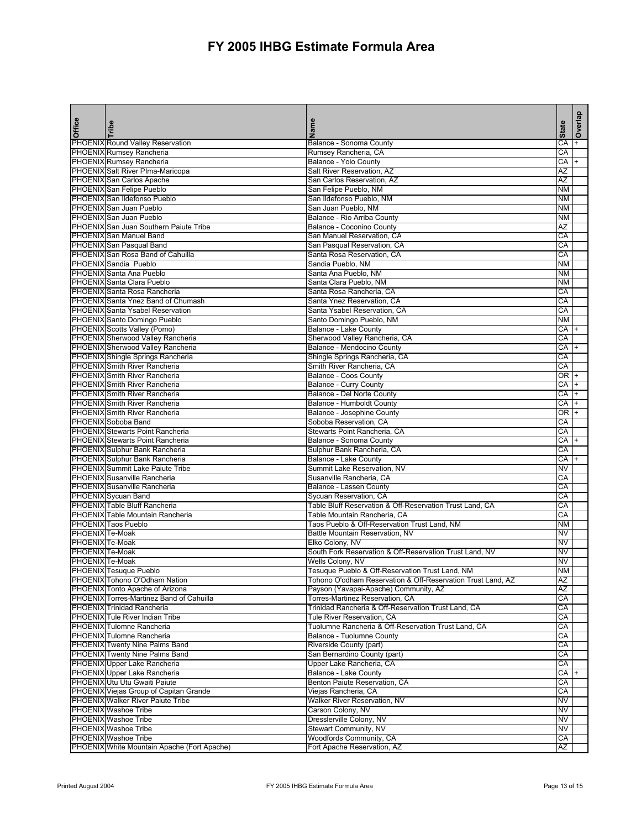|                 |                                                                             |                                                                                          |                        | Overlap   |
|-----------------|-----------------------------------------------------------------------------|------------------------------------------------------------------------------------------|------------------------|-----------|
| <b>Office</b>   | Tribe                                                                       | Name                                                                                     | <b>State</b>           |           |
|                 | PHOENIX Round Valley Reservation                                            | Balance - Sonoma County                                                                  | CA                     |           |
|                 | <b>PHOENIX Rumsey Rancheria</b>                                             | Rumsey Rancheria, CA                                                                     | CA                     |           |
|                 | PHOENIX Rumsey Rancheria                                                    | Balance - Yolo County                                                                    | CA                     | $+$       |
|                 | PHOENIX Salt River PIma-Maricopa<br>PHOENIX San Carlos Apache               | Salt River Reservation, AZ<br>San Carlos Reservation, AZ                                 | AZ<br>ΑZ               |           |
|                 | PHOENIX San Felipe Pueblo                                                   | San Felipe Pueblo, NM                                                                    | <b>NM</b>              |           |
|                 | PHOENIX San Ildefonso Pueblo                                                | San Ildefonso Pueblo, NM                                                                 | <b>NM</b>              |           |
|                 | PHOENIX San Juan Pueblo                                                     | San Juan Pueblo, NM                                                                      | <b>NM</b>              |           |
|                 | PHOENIX San Juan Pueblo                                                     | Balance - Rio Arriba County                                                              | <b>NM</b>              |           |
|                 | PHOENIXISan Juan Southern Paiute Tribe                                      | Balance - Coconino County                                                                | AZ                     |           |
|                 | PHOENIX San Manuel Band                                                     | San Manuel Reservation, CA                                                               | CA                     |           |
|                 | PHOENIX San Pasqual Band                                                    | San Pasqual Reservation, CA                                                              | CA                     |           |
|                 | PHOENIX San Rosa Band of Cahuilla<br>PHOENIX Sandia Pueblo                  | Santa Rosa Reservation, CA<br>Sandia Pueblo, NM                                          | CA<br><b>NM</b>        |           |
|                 | PHOENIX Santa Ana Pueblo                                                    | Santa Ana Pueblo, NM                                                                     | <b>NM</b>              |           |
|                 | PHOENIX Santa Clara Pueblo                                                  | Santa Clara Pueblo, NM                                                                   | <b>NM</b>              |           |
|                 | PHOENIX Santa Rosa Rancheria                                                | Santa Rosa Rancheria, CA                                                                 | CA                     |           |
|                 | PHOENIX Santa Ynez Band of Chumash                                          | Santa Ynez Reservation, CA                                                               | CA                     |           |
|                 | <b>PHOENIX</b> Santa Ysabel Reservation                                     | Santa Ysabel Reservation, CA                                                             | CA                     |           |
|                 | PHOENIX Santo Domingo Pueblo                                                | Santo Domingo Pueblo, NM                                                                 | <b>NM</b>              |           |
|                 | PHOENIX Scotts Valley (Pomo)                                                | <b>Balance - Lake County</b>                                                             | CA                     |           |
|                 | PHOENIX Sherwood Valley Rancheria<br>PHOENIX Sherwood Valley Rancheria      | Sherwood Valley Rancheria, CA<br>Balance - Mendocino County                              | CA<br>CA               |           |
|                 | PHOENIX Shingle Springs Rancheria                                           | Shingle Springs Rancheria, CA                                                            | CA                     |           |
|                 | <b>PHOENIX Smith River Rancheria</b>                                        | Smith River Rancheria, CA                                                                | CA                     |           |
|                 | PHOENIX Smith River Rancheria                                               | Balance - Coos County                                                                    | OR +                   |           |
|                 | <b>PHOENIX Smith River Rancheria</b>                                        | <b>Balance - Curry County</b>                                                            | CA                     |           |
|                 | <b>PHOENIX Smith River Rancheria</b>                                        | Balance - Del Norte County                                                               | CA                     |           |
|                 | PHOENIX Smith River Rancheria                                               | Balance - Humboldt County                                                                | CA                     |           |
|                 | PHOENIX Smith River Rancheria                                               | Balance - Josephine County                                                               | $\overline{OR}$        |           |
|                 | PHOENIX Soboba Band<br><b>PHOENIX Stewarts Point Rancheria</b>              | Soboba Reservation, CA<br>Stewarts Point Rancheria, CA                                   | CA<br>CA               |           |
|                 | <b>PHOENIX</b> Stewarts Point Rancheria                                     | <b>Balance - Sonoma County</b>                                                           | CA                     | $\ddot{}$ |
|                 | PHOENIX Sulphur Bank Rancheria                                              | Sulphur Bank Rancheria, CA                                                               | CA                     |           |
|                 | PHOENIX Sulphur Bank Rancheria                                              | <b>Balance - Lake County</b>                                                             | CA                     |           |
|                 | PHOENIX Summit Lake Paiute Tribe                                            | Summit Lake Reservation, NV                                                              | NV                     |           |
|                 | PHOENIX Susanville Rancheria                                                | Susanville Rancheria, CA                                                                 | CA                     |           |
|                 | <b>PHOENIX Susanville Rancheria</b>                                         | Balance - Lassen County                                                                  | CA                     |           |
|                 | PHOENIX Sycuan Band                                                         | Sycuan Reservation, CA                                                                   | CA                     |           |
|                 | PHOENIX Table Bluff Rancheria<br>PHOENIX Table Mountain Rancheria           | Table Bluff Reservation & Off-Reservation Trust Land, CA<br>Table Mountain Rancheria, CA | CA<br>СA               |           |
|                 | <b>PHOENIX</b> Taos Pueblo                                                  | Taos Pueblo & Off-Reservation Trust Land, NM                                             | <b>NM</b>              |           |
| PHOENIX Te-Moak |                                                                             | Battle Mountain Reservation, NV                                                          | <b>NV</b>              |           |
| PHOENIX Te-Moak |                                                                             | Elko Colony, NV                                                                          | NV                     |           |
| PHOENIX Te-Moak |                                                                             | South Fork Reservation & Off-Reservation Trust Land, NV                                  | NV                     |           |
| PHOENIX Te-Moak |                                                                             | Wells Colony, NV                                                                         | $\overline{\text{NV}}$ |           |
|                 | PHOENIX Tesuque Pueblo                                                      | Tesuque Pueblo & Off-Reservation Trust Land, NM                                          | <b>NM</b>              |           |
|                 | PHOENIX Tohono O'Odham Nation                                               | Tohono O'odham Reservation & Off-Reservation Trust Land, AZ                              | AZ                     |           |
|                 | PHOENIX Tonto Apache of Arizona<br>PHOENIX Torres-Martinez Band of Cahuilla | Payson (Yavapai-Apache) Community, AZ<br>Torres-Martinez Reservation, CA                 | ΑZ<br>CA               |           |
|                 | PHOENIX Trinidad Rancheria                                                  | Trinidad Rancheria & Off-Reservation Trust Land, CA                                      | CA                     |           |
|                 | <b>PHOENIX</b> Tule River Indian Tribe                                      | Tule River Reservation, CA                                                               | СA                     |           |
|                 | PHOENIX Tulomne Rancheria                                                   | Tuolumne Rancheria & Off-Reservation Trust Land, CA                                      | CA                     |           |
|                 | PHOENIX Tulomne Rancheria                                                   | Balance - Tuolumne County                                                                | СA                     |           |
|                 | <b>PHOENIX</b> Twenty Nine Palms Band                                       | Riverside County (part)                                                                  | CA                     |           |
|                 | <b>PHOENIX</b> Twenty Nine Palms Band                                       | San Bernardino County (part)                                                             | CA                     |           |
|                 | PHOENIX Upper Lake Rancheria                                                | Upper Lake Rancheria, CA                                                                 | CA                     |           |
|                 | <b>PHOENIX</b> Upper Lake Rancheria<br>PHOENIX Utu Utu Gwaiti Paiute        | Balance - Lake County<br>Benton Paiute Reservation, CA                                   | CA<br>CA               |           |
|                 | PHOENIX Viejas Group of Capitan Grande                                      | Viejas Rancheria, CA                                                                     | CA                     |           |
|                 | <b>PHOENIX</b> Walker River Paiute Tribe                                    | <b>Walker River Reservation, NV</b>                                                      | NV                     |           |
|                 | PHOENIX Washoe Tribe                                                        | Carson Colony, NV                                                                        | <b>NV</b>              |           |
|                 | <b>PHOENIX</b> Washoe Tribe                                                 | Dresslerville Colony, NV                                                                 | NV                     |           |
|                 | <b>PHOENIX</b> Washoe Tribe                                                 | <b>Stewart Community, NV</b>                                                             | NV                     |           |
|                 | PHOENIX Washoe Tribe                                                        | Woodfords Community, CA                                                                  | CA                     |           |
|                 | PHOENIX White Mountain Apache (Fort Apache)                                 | Fort Apache Reservation, AZ                                                              | AZ                     |           |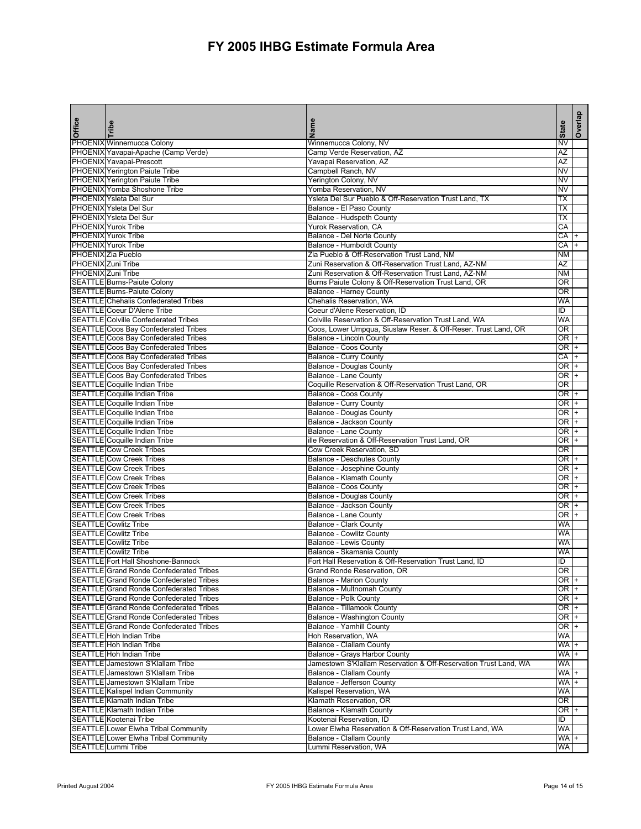| Office | Tribe                                                                               | Name                                                                                  | <b>State</b>           | Overlap |
|--------|-------------------------------------------------------------------------------------|---------------------------------------------------------------------------------------|------------------------|---------|
|        | PHOENIX Winnemucca Colony                                                           | Winnemucca Colony, NV                                                                 | NV                     |         |
|        | PHOENIX Yavapai-Apache (Camp Verde)                                                 | Camp Verde Reservation, AZ                                                            | ΑZ                     |         |
|        | PHOENIX Yavapai-Prescott                                                            | Yavapai Reservation, AZ                                                               | ΑZ                     |         |
|        | <b>PHOENIX</b> Yerington Paiute Tribe                                               | Campbell Ranch, NV                                                                    | NV                     |         |
|        | <b>PHOENIX</b> Yerington Paiute Tribe                                               | Yerington Colony, NV                                                                  | NV                     |         |
|        | PHOENIX Yomba Shoshone Tribe                                                        | Yomba Reservation, NV                                                                 | NV                     |         |
|        | <b>PHOENIX Ysleta Del Sur</b>                                                       | Ysleta Del Sur Pueblo & Off-Reservation Trust Land, TX                                | ТX                     |         |
|        | <b>PHOENIX Ysleta Del Sur</b>                                                       | Balance - El Paso County                                                              | ТX                     |         |
|        | <b>PHOENIX Ysleta Del Sur</b>                                                       | Balance - Hudspeth County                                                             | <b>TX</b>              |         |
|        | <b>PHOENIX</b> Yurok Tribe                                                          | Yurok Reservation, CA                                                                 | СA                     |         |
|        | <b>PHOENIX</b> Yurok Tribe                                                          | Balance - Del Norte County                                                            | CA                     |         |
|        | <b>PHOENIX</b> Yurok Tribe                                                          | Balance - Humboldt County                                                             | CA                     |         |
|        | PHOENIX Zia Pueblo                                                                  | Zia Pueblo & Off-Reservation Trust Land, NM                                           | ΝM                     |         |
|        | PHOENIX Zuni Tribe                                                                  | Zuni Reservation & Off-Reservation Trust Land, AZ-NM                                  | AZ                     |         |
|        | PHOENIX Zuni Tribe                                                                  | Zuni Reservation & Off-Reservation Trust Land, AZ-NM                                  | <b>NM</b>              |         |
|        | SEATTLE Burns-Paiute Colony                                                         | Burns Paiute Colony & Off-Reservation Trust Land, OR                                  | OR                     |         |
|        | SEATTLE Burns-Paiute Colony                                                         | <b>Balance - Harney County</b>                                                        | OR                     |         |
|        | <b>SEATTLE Chehalis Confederated Tribes</b>                                         | Chehalis Reservation, WA                                                              | WA                     |         |
|        | SEATTLE Coeur D'Alene Tribe                                                         | Coeur d'Alene Reservation, ID                                                         | ΙD                     |         |
|        | <b>SEATTLE Colville Confederated Tribes</b>                                         | Colville Reservation & Off-Reservation Trust Land, WA                                 | WA                     |         |
|        | SEATTLE Coos Bay Confederated Tribes                                                | Coos, Lower Umpqua, Siuslaw Reser. & Off-Reser. Trust Land, OR                        | OR                     |         |
|        | SEATTLE Coos Bay Confederated Tribes                                                | <b>Balance - Lincoln County</b>                                                       | OR I                   |         |
|        | SEATTLE Coos Bay Confederated Tribes<br><b>SEATTLE</b> Coos Bay Confederated Tribes | Balance - Coos County                                                                 | OR +                   |         |
|        | <b>SEATTLE Coos Bay Confederated Tribes</b>                                         | <b>Balance - Curry County</b>                                                         | CA                     |         |
|        |                                                                                     | <b>Balance - Douglas County</b>                                                       | 0R                     |         |
|        | SEATTLE Coos Bay Confederated Tribes                                                | <b>Balance - Lane County</b><br>Coquille Reservation & Off-Reservation Trust Land, OR | 0R<br>OR               |         |
|        | SEATTLE Coquille Indian Tribe<br><b>SEATTLE</b> Coquille Indian Tribe               |                                                                                       | OR +                   |         |
|        | <b>SEATTLE Coquille Indian Tribe</b>                                                | Balance - Coos County<br><b>Balance - Curry County</b>                                | OR +                   |         |
|        | SEATTLE Coquille Indian Tribe                                                       | <b>Balance - Douglas County</b>                                                       | OR                     |         |
|        | <b>SEATTLE Coquille Indian Tribe</b>                                                | Balance - Jackson County                                                              | $\overline{\text{OR}}$ |         |
|        | <b>SEATTLE</b> Coquille Indian Tribe                                                | Balance - Lane County                                                                 | OR                     |         |
|        | <b>SEATTLE</b> Coquille Indian Tribe                                                | ille Reservation & Off-Reservation Trust Land, OR                                     | OR +                   |         |
|        | <b>SEATTLE Cow Creek Tribes</b>                                                     | Cow Creek Reservation, SD                                                             | <b>OR</b>              |         |
|        | <b>SEATTLE Cow Creek Tribes</b>                                                     | <b>Balance - Deschutes County</b>                                                     | OR +                   |         |
|        | <b>SEATTLE Cow Creek Tribes</b>                                                     | <b>Balance - Josephine County</b>                                                     | OR<br>I                |         |
|        | <b>SEATTLE Cow Creek Tribes</b>                                                     | Balance - Klamath County                                                              | 0R                     |         |
|        | <b>SEATTLE</b> Cow Creek Tribes                                                     | Balance - Coos County                                                                 | OR +                   |         |
|        | <b>SEATTLE Cow Creek Tribes</b>                                                     | <b>Balance - Douglas County</b>                                                       | 0R                     |         |
|        | <b>SEATTLE Cow Creek Tribes</b>                                                     | Balance - Jackson County                                                              | OR +                   |         |
|        | <b>SEATTLE Cow Creek Tribes</b>                                                     | <b>Balance - Lane County</b>                                                          | OR +                   |         |
|        | <b>SEATTLE</b> Cowlitz Tribe                                                        | <b>Balance - Clark County</b>                                                         | WA                     |         |
|        | <b>SEATTLE Cowlitz Tribe</b>                                                        | <b>Balance - Cowlitz County</b>                                                       | WA                     |         |
|        | <b>SEATTLE Cowlitz Tribe</b>                                                        | Balance - Lewis County                                                                | WA                     |         |
|        | <b>SEATTLE</b> Cowlitz Tribe                                                        | Balance - Skamania County                                                             | WA                     |         |
|        | SEATTLE Fort Hall Shoshone-Bannock                                                  | Fort Hall Reservation & Off-Reservation Trust Land, ID                                | ID                     |         |
|        | <b>SEATTLE</b> Grand Ronde Confederated Tribes                                      | Grand Ronde Reservation, OR                                                           | OR                     |         |
|        | SEATTLE Grand Ronde Confederated Tribes                                             | <b>Balance - Marion County</b>                                                        | OR +                   |         |
|        | <b>SEATTLE Grand Ronde Confederated Tribes</b>                                      | Balance - Multnomah County                                                            | OR I                   |         |
|        | <b>SEATTLE Grand Ronde Confederated Tribes</b>                                      | <b>Balance - Polk County</b>                                                          | OR +                   |         |
|        | <b>SEATTLE Grand Ronde Confederated Tribes</b>                                      | Balance - Tillamook County                                                            | OR I+                  |         |
|        | <b>SEATTLE</b> Grand Ronde Confederated Tribes                                      | Balance - Washington County                                                           | OR +                   |         |
|        | <b>SEATTLE Grand Ronde Confederated Tribes</b>                                      | Balance - Yamhill County                                                              | OR +                   |         |
|        | SEATTLE Hoh Indian Tribe                                                            | Hoh Reservation, WA                                                                   | WA                     |         |
|        | SEATTLE Hoh Indian Tribe                                                            | <b>Balance - Clallam County</b>                                                       | WA +                   |         |
|        | SEATTLE Hoh Indian Tribe                                                            | Balance - Grays Harbor County                                                         | WA +                   |         |
|        | SEATTLE Jamestown S'Klallam Tribe                                                   | Jamestown S'Klallam Reservation & Off-Reservation Trust Land, WA                      | WA                     |         |
|        | SEATTLE Jamestown S'Klallam Tribe                                                   | <b>Balance - Clallam County</b>                                                       | WA                     |         |
|        | SEATTLE Jamestown S'Klallam Tribe                                                   | Balance - Jefferson County                                                            | WA +                   |         |
|        | SEATTLE Kalispel Indian Community                                                   | Kalispel Reservation, WA                                                              | WA                     |         |
|        | <b>SEATTLE Klamath Indian Tribe</b>                                                 | Klamath Reservation, OR                                                               | OR                     |         |
|        | SEATTLE Klamath Indian Tribe<br><b>SEATTLE Kootenai Tribe</b>                       | Balance - Klamath County<br>Kootenai Reservation, ID                                  | OR +<br>ID             |         |
|        | SEATTLE Lower Elwha Tribal Community                                                | Lower Elwha Reservation & Off-Reservation Trust Land, WA                              | WA                     |         |
|        | SEATTLE Lower Elwha Tribal Community                                                | Balance - Clallam County                                                              | WA +                   |         |
|        | SEATTLE Lummi Tribe                                                                 | Lummi Reservation, WA                                                                 | WA                     |         |
|        |                                                                                     |                                                                                       |                        |         |